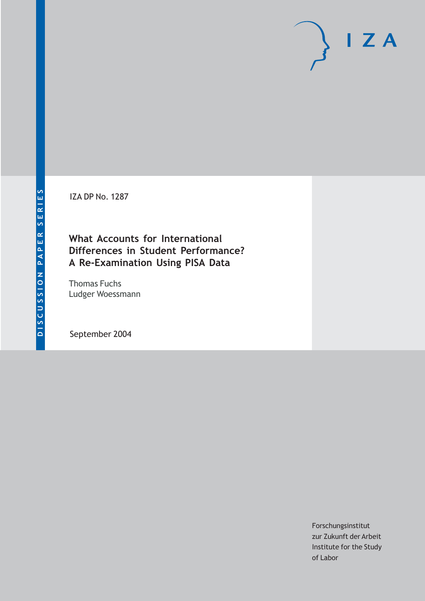# $I Z A$

**IZA DP No. 1287** 

# **What Accounts for International** Differences in Student Performance? A Re-Examination Using PISA Data

**Thomas Fuchs** Ludger Woessmann

September 2004

Forschungsinstitut zur Zukunft der Arbeit Institute for the Study of Labor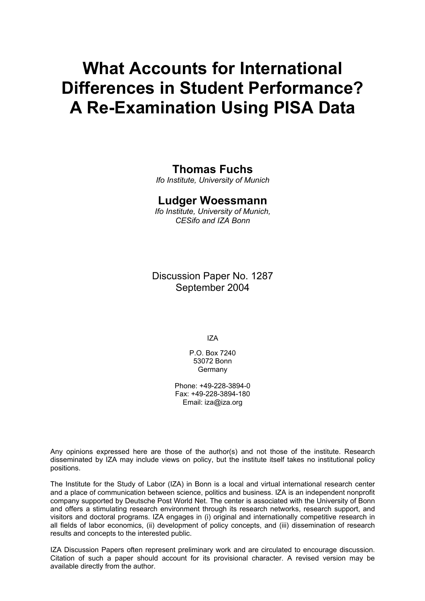# **What Accounts for International Differences in Student Performance? A Re-Examination Using PISA Data**

# **Thomas Fuchs**

*Ifo Institute, University of Munich* 

# **Ludger Woessmann**

*Ifo Institute, University of Munich, CESifo and IZA Bonn* 

Discussion Paper No. 1287 September 2004

IZA

P.O. Box 7240 53072 Bonn **Germany** 

Phone: +49-228-3894-0 Fax: +49-228-3894-180 Email: [iza@iza.org](mailto:iza@iza.org)

Any opinions expressed here are those of the author(s) and not those of the institute. Research disseminated by IZA may include views on policy, but the institute itself takes no institutional policy positions.

The Institute for the Study of Labor (IZA) in Bonn is a local and virtual international research center and a place of communication between science, politics and business. IZA is an independent nonprofit company supported by Deutsche Post World Net. The center is associated with the University of Bonn and offers a stimulating research environment through its research networks, research support, and visitors and doctoral programs. IZA engages in (i) original and internationally competitive research in all fields of labor economics, (ii) development of policy concepts, and (iii) dissemination of research results and concepts to the interested public.

IZA Discussion Papers often represent preliminary work and are circulated to encourage discussion. Citation of such a paper should account for its provisional character. A revised version may be available directly from the author.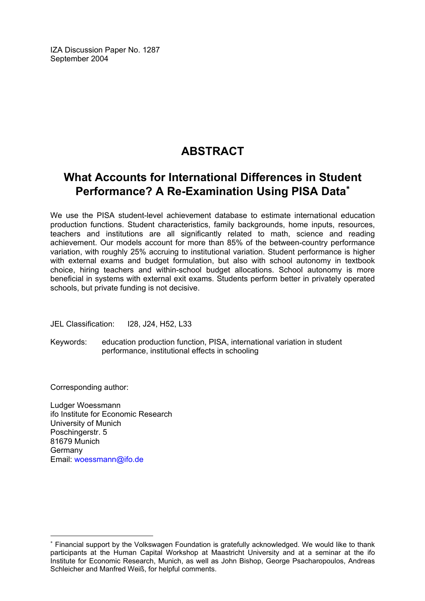IZA Discussion Paper No. 1287 September 2004

# **ABSTRACT**

# **What Accounts for International Differences in Student Performance? A Re-Examination Using PISA Data**[∗](#page-2-0)

We use the PISA student-level achievement database to estimate international education production functions. Student characteristics, family backgrounds, home inputs, resources, teachers and institutions are all significantly related to math, science and reading achievement. Our models account for more than 85% of the between-country performance variation, with roughly 25% accruing to institutional variation. Student performance is higher with external exams and budget formulation, but also with school autonomy in textbook choice, hiring teachers and within-school budget allocations. School autonomy is more beneficial in systems with external exit exams. Students perform better in privately operated schools, but private funding is not decisive.

JEL Classification: I28, J24, H52, L33

Keywords: education production function, PISA, international variation in student performance, institutional effects in schooling

Corresponding author:

 $\overline{a}$ 

Ludger Woessmann ifo Institute for Economic Research University of Munich Poschingerstr. 5 81679 Munich Germany Email: [woessmann@ifo.de](mailto:woessmann@ifo.de)

<span id="page-2-0"></span><sup>∗</sup> Financial support by the Volkswagen Foundation is gratefully acknowledged. We would like to thank participants at the Human Capital Workshop at Maastricht University and at a seminar at the ifo Institute for Economic Research, Munich, as well as John Bishop, George Psacharopoulos, Andreas Schleicher and Manfred Weiß, for helpful comments.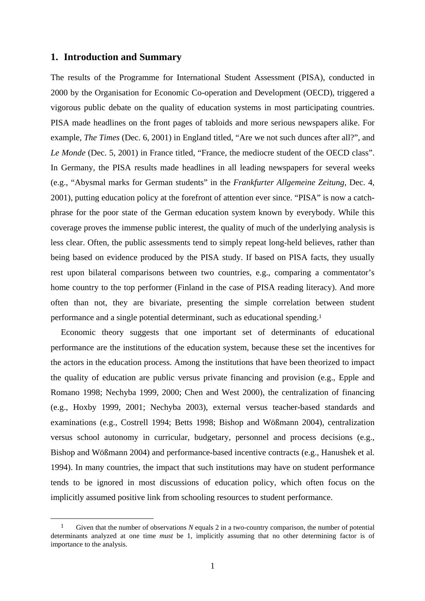#### **1. Introduction and Summary**

The results of the Programme for International Student Assessment (PISA), conducted in 2000 by the Organisation for Economic Co-operation and Development (OECD), triggered a vigorous public debate on the quality of education systems in most participating countries. PISA made headlines on the front pages of tabloids and more serious newspapers alike. For example, *The Times* (Dec. 6, 2001) in England titled, "Are we not such dunces after all?", and *Le Monde* (Dec. 5, 2001) in France titled, "France, the mediocre student of the OECD class". In Germany, the PISA results made headlines in all leading newspapers for several weeks (e.g., "Abysmal marks for German students" in the *Frankfurter Allgemeine Zeitung*, Dec. 4, 2001), putting education policy at the forefront of attention ever since. "PISA" is now a catchphrase for the poor state of the German education system known by everybody. While this coverage proves the immense public interest, the quality of much of the underlying analysis is less clear. Often, the public assessments tend to simply repeat long-held believes, rather than being based on evidence produced by the PISA study. If based on PISA facts, they usually rest upon bilateral comparisons between two countries, e.g., comparing a commentator's home country to the top performer (Finland in the case of PISA reading literacy). And more often than not, they are bivariate, presenting the simple correlation between student performance and a single potential determinant, such as educational spending.1

Economic theory suggests that one important set of determinants of educational performance are the institutions of the education system, because these set the incentives for the actors in the education process. Among the institutions that have been theorized to impact the quality of education are public versus private financing and provision (e.g., Epple and Romano 1998; Nechyba 1999, 2000; Chen and West 2000), the centralization of financing (e.g., Hoxby 1999, 2001; Nechyba 2003), external versus teacher-based standards and examinations (e.g., Costrell 1994; Betts 1998; Bishop and Wößmann 2004), centralization versus school autonomy in curricular, budgetary, personnel and process decisions (e.g., Bishop and Wößmann 2004) and performance-based incentive contracts (e.g., Hanushek et al. 1994). In many countries, the impact that such institutions may have on student performance tends to be ignored in most discussions of education policy, which often focus on the implicitly assumed positive link from schooling resources to student performance.

 <sup>1</sup> Given that the number of observations *N* equals 2 in a two-country comparison, the number of potential determinants analyzed at one time *must* be 1, implicitly assuming that no other determining factor is of importance to the analysis.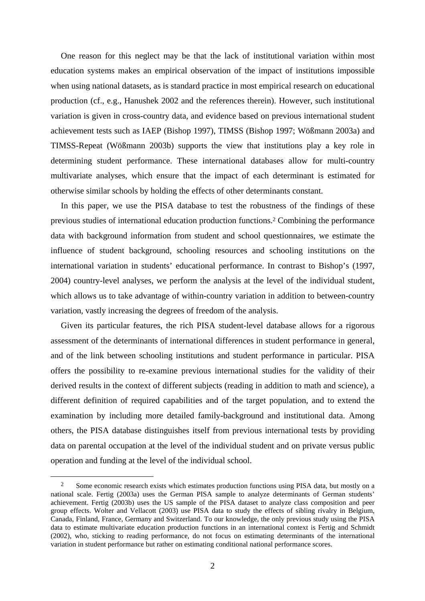One reason for this neglect may be that the lack of institutional variation within most education systems makes an empirical observation of the impact of institutions impossible when using national datasets, as is standard practice in most empirical research on educational production (cf., e.g., Hanushek 2002 and the references therein). However, such institutional variation is given in cross-country data, and evidence based on previous international student achievement tests such as IAEP (Bishop 1997), TIMSS (Bishop 1997; Wößmann 2003a) and TIMSS-Repeat (Wößmann 2003b) supports the view that institutions play a key role in determining student performance. These international databases allow for multi-country multivariate analyses, which ensure that the impact of each determinant is estimated for otherwise similar schools by holding the effects of other determinants constant.

In this paper, we use the PISA database to test the robustness of the findings of these previous studies of international education production functions.2 Combining the performance data with background information from student and school questionnaires, we estimate the influence of student background, schooling resources and schooling institutions on the international variation in students' educational performance. In contrast to Bishop's (1997, 2004) country-level analyses, we perform the analysis at the level of the individual student, which allows us to take advantage of within-country variation in addition to between-country variation, vastly increasing the degrees of freedom of the analysis.

Given its particular features, the rich PISA student-level database allows for a rigorous assessment of the determinants of international differences in student performance in general, and of the link between schooling institutions and student performance in particular. PISA offers the possibility to re-examine previous international studies for the validity of their derived results in the context of different subjects (reading in addition to math and science), a different definition of required capabilities and of the target population, and to extend the examination by including more detailed family-background and institutional data. Among others, the PISA database distinguishes itself from previous international tests by providing data on parental occupation at the level of the individual student and on private versus public operation and funding at the level of the individual school.

<sup>&</sup>lt;sup>2</sup> Some economic research exists which estimates production functions using PISA data, but mostly on a national scale. Fertig (2003a) uses the German PISA sample to analyze determinants of German students' achievement. Fertig (2003b) uses the US sample of the PISA dataset to analyze class composition and peer group effects. Wolter and Vellacott (2003) use PISA data to study the effects of sibling rivalry in Belgium, Canada, Finland, France, Germany and Switzerland. To our knowledge, the only previous study using the PISA data to estimate multivariate education production functions in an international context is Fertig and Schmidt (2002), who, sticking to reading performance, do not focus on estimating determinants of the international variation in student performance but rather on estimating conditional national performance scores.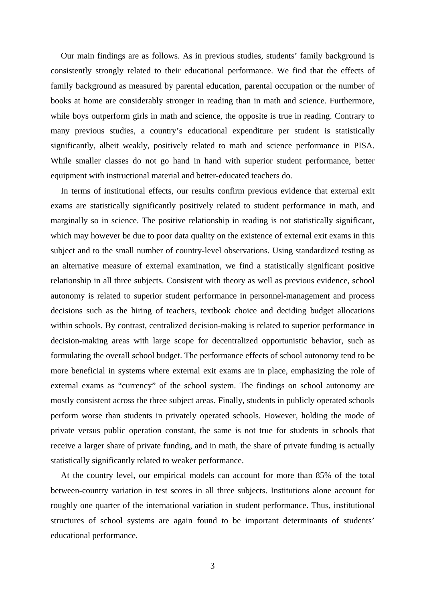Our main findings are as follows. As in previous studies, students' family background is consistently strongly related to their educational performance. We find that the effects of family background as measured by parental education, parental occupation or the number of books at home are considerably stronger in reading than in math and science. Furthermore, while boys outperform girls in math and science, the opposite is true in reading. Contrary to many previous studies, a country's educational expenditure per student is statistically significantly, albeit weakly, positively related to math and science performance in PISA. While smaller classes do not go hand in hand with superior student performance, better equipment with instructional material and better-educated teachers do.

In terms of institutional effects, our results confirm previous evidence that external exit exams are statistically significantly positively related to student performance in math, and marginally so in science. The positive relationship in reading is not statistically significant, which may however be due to poor data quality on the existence of external exit exams in this subject and to the small number of country-level observations. Using standardized testing as an alternative measure of external examination, we find a statistically significant positive relationship in all three subjects. Consistent with theory as well as previous evidence, school autonomy is related to superior student performance in personnel-management and process decisions such as the hiring of teachers, textbook choice and deciding budget allocations within schools. By contrast, centralized decision-making is related to superior performance in decision-making areas with large scope for decentralized opportunistic behavior, such as formulating the overall school budget. The performance effects of school autonomy tend to be more beneficial in systems where external exit exams are in place, emphasizing the role of external exams as "currency" of the school system. The findings on school autonomy are mostly consistent across the three subject areas. Finally, students in publicly operated schools perform worse than students in privately operated schools. However, holding the mode of private versus public operation constant, the same is not true for students in schools that receive a larger share of private funding, and in math, the share of private funding is actually statistically significantly related to weaker performance.

At the country level, our empirical models can account for more than 85% of the total between-country variation in test scores in all three subjects. Institutions alone account for roughly one quarter of the international variation in student performance. Thus, institutional structures of school systems are again found to be important determinants of students' educational performance.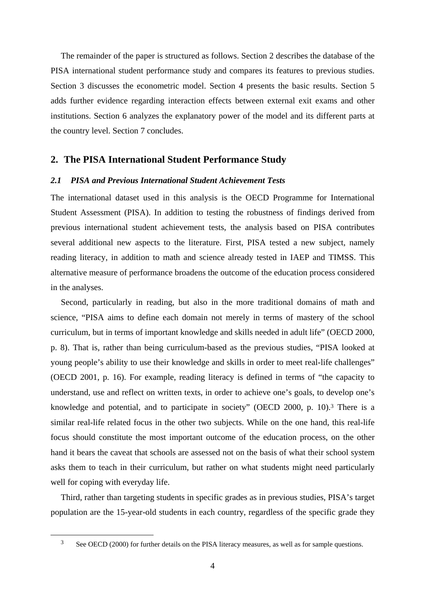The remainder of the paper is structured as follows. Section 2 describes the database of the PISA international student performance study and compares its features to previous studies. Section 3 discusses the econometric model. Section 4 presents the basic results. Section 5 adds further evidence regarding interaction effects between external exit exams and other institutions. Section 6 analyzes the explanatory power of the model and its different parts at the country level. Section 7 concludes.

## **2. The PISA International Student Performance Study**

#### *2.1 PISA and Previous International Student Achievement Tests*

The international dataset used in this analysis is the OECD Programme for International Student Assessment (PISA). In addition to testing the robustness of findings derived from previous international student achievement tests, the analysis based on PISA contributes several additional new aspects to the literature. First, PISA tested a new subject, namely reading literacy, in addition to math and science already tested in IAEP and TIMSS. This alternative measure of performance broadens the outcome of the education process considered in the analyses.

Second, particularly in reading, but also in the more traditional domains of math and science, "PISA aims to define each domain not merely in terms of mastery of the school curriculum, but in terms of important knowledge and skills needed in adult life" (OECD 2000, p. 8). That is, rather than being curriculum-based as the previous studies, "PISA looked at young people's ability to use their knowledge and skills in order to meet real-life challenges" (OECD 2001, p. 16). For example, reading literacy is defined in terms of "the capacity to understand, use and reflect on written texts, in order to achieve one's goals, to develop one's knowledge and potential, and to participate in society" (OECD 2000, p. 10).3 There is a similar real-life related focus in the other two subjects. While on the one hand, this real-life focus should constitute the most important outcome of the education process, on the other hand it bears the caveat that schools are assessed not on the basis of what their school system asks them to teach in their curriculum, but rather on what students might need particularly well for coping with everyday life.

Third, rather than targeting students in specific grades as in previous studies, PISA's target population are the 15-year-old students in each country, regardless of the specific grade they

<sup>&</sup>lt;sup>3</sup> See OECD (2000) for further details on the PISA literacy measures, as well as for sample questions.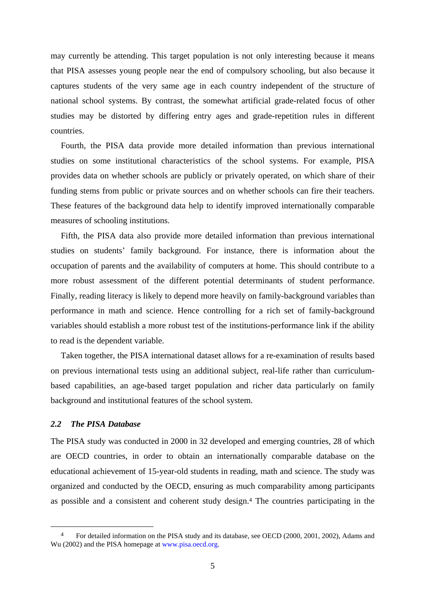may currently be attending. This target population is not only interesting because it means that PISA assesses young people near the end of compulsory schooling, but also because it captures students of the very same age in each country independent of the structure of national school systems. By contrast, the somewhat artificial grade-related focus of other studies may be distorted by differing entry ages and grade-repetition rules in different countries.

Fourth, the PISA data provide more detailed information than previous international studies on some institutional characteristics of the school systems. For example, PISA provides data on whether schools are publicly or privately operated, on which share of their funding stems from public or private sources and on whether schools can fire their teachers. These features of the background data help to identify improved internationally comparable measures of schooling institutions.

Fifth, the PISA data also provide more detailed information than previous international studies on students' family background. For instance, there is information about the occupation of parents and the availability of computers at home. This should contribute to a more robust assessment of the different potential determinants of student performance. Finally, reading literacy is likely to depend more heavily on family-background variables than performance in math and science. Hence controlling for a rich set of family-background variables should establish a more robust test of the institutions-performance link if the ability to read is the dependent variable.

Taken together, the PISA international dataset allows for a re-examination of results based on previous international tests using an additional subject, real-life rather than curriculumbased capabilities, an age-based target population and richer data particularly on family background and institutional features of the school system.

#### *2.2 The PISA Database*

The PISA study was conducted in 2000 in 32 developed and emerging countries, 28 of which are OECD countries, in order to obtain an internationally comparable database on the educational achievement of 15-year-old students in reading, math and science. The study was organized and conducted by the OECD, ensuring as much comparability among participants as possible and a consistent and coherent study design.4 The countries participating in the

<sup>&</sup>lt;sup>4</sup> For detailed information on the PISA study and its database, see OECD (2000, 2001, 2002), Adams and Wu (2002) and the PISA homepage at www.pisa.oecd.org.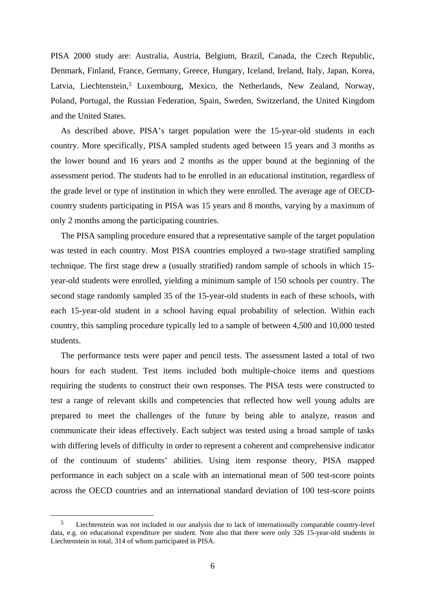PISA 2000 study are: Australia, Austria, Belgium, Brazil, Canada, the Czech Republic, Denmark, Finland, France, Germany, Greece, Hungary, Iceland, Ireland, Italy, Japan, Korea, Latvia, Liechtenstein,<sup>5</sup> Luxembourg, Mexico, the Netherlands, New Zealand, Norway, Poland, Portugal, the Russian Federation, Spain, Sweden, Switzerland, the United Kingdom and the United States.

As described above, PISA's target population were the 15-year-old students in each country. More specifically, PISA sampled students aged between 15 years and 3 months as the lower bound and 16 years and 2 months as the upper bound at the beginning of the assessment period. The students had to be enrolled in an educational institution, regardless of the grade level or type of institution in which they were enrolled. The average age of OECDcountry students participating in PISA was 15 years and 8 months, varying by a maximum of only 2 months among the participating countries.

The PISA sampling procedure ensured that a representative sample of the target population was tested in each country. Most PISA countries employed a two-stage stratified sampling technique. The first stage drew a (usually stratified) random sample of schools in which 15 year-old students were enrolled, yielding a minimum sample of 150 schools per country. The second stage randomly sampled 35 of the 15-year-old students in each of these schools, with each 15-year-old student in a school having equal probability of selection. Within each country, this sampling procedure typically led to a sample of between 4,500 and 10,000 tested students.

The performance tests were paper and pencil tests. The assessment lasted a total of two hours for each student. Test items included both multiple-choice items and questions requiring the students to construct their own responses. The PISA tests were constructed to test a range of relevant skills and competencies that reflected how well young adults are prepared to meet the challenges of the future by being able to analyze, reason and communicate their ideas effectively. Each subject was tested using a broad sample of tasks with differing levels of difficulty in order to represent a coherent and comprehensive indicator of the continuum of students' abilities. Using item response theory, PISA mapped performance in each subject on a scale with an international mean of 500 test-score points across the OECD countries and an international standard deviation of 100 test-score points

 <sup>5</sup> Liechtenstein was not included in our analysis due to lack of internationally comparable country-level data, e.g. on educational expenditure per student. Note also that there were only 326 15-year-old students in Liechtenstein in total, 314 of whom participated in PISA.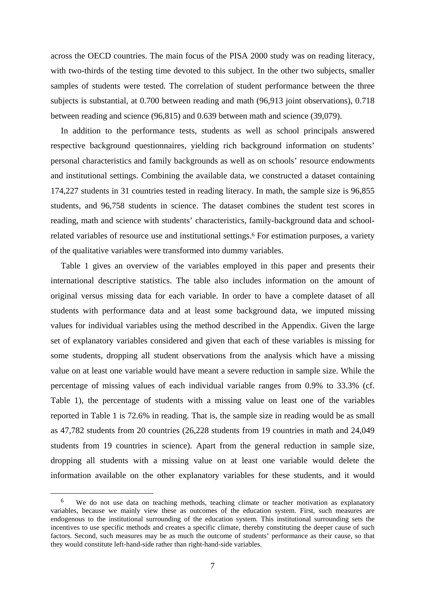across the OECD countries. The main focus of the PISA 2000 study was on reading literacy, with two-thirds of the testing time devoted to this subject. In the other two subjects, smaller samples of students were tested. The correlation of student performance between the three subjects is substantial, at 0.700 between reading and math (96,913 joint observations), 0.718 between reading and science (96,815) and 0.639 between math and science (39,079).

In addition to the performance tests, students as well as school principals answered respective background questionnaires, yielding rich background information on students' personal characteristics and family backgrounds as well as on schools' resource endowments and institutional settings. Combining the available data, we constructed a dataset containing 174,227 students in 31 countries tested in reading literacy. In math, the sample size is 96,855 students, and 96,758 students in science. The dataset combines the student test scores in reading, math and science with students' characteristics, family-background data and schoolrelated variables of resource use and institutional settings.6 For estimation purposes, a variety of the qualitative variables were transformed into dummy variables.

Table 1 gives an overview of the variables employed in this paper and presents their international descriptive statistics. The table also includes information on the amount of original versus missing data for each variable. In order to have a complete dataset of all students with performance data and at least some background data, we imputed missing values for individual variables using the method described in the Appendix. Given the large set of explanatory variables considered and given that each of these variables is missing for some students, dropping all student observations from the analysis which have a missing value on at least one variable would have meant a severe reduction in sample size. While the percentage of missing values of each individual variable ranges from 0.9% to 33.3% (cf. Table 1), the percentage of students with a missing value on least one of the variables reported in Table 1 is 72.6% in reading. That is, the sample size in reading would be as small as 47,782 students from 20 countries (26,228 students from 19 countries in math and 24,049 students from 19 countries in science). Apart from the general reduction in sample size, dropping all students with a missing value on at least one variable would delete the information available on the other explanatory variables for these students, and it would

We do not use data on teaching methods, teaching climate or teacher motivation as explanatory variables, because we mainly view these as outcomes of the education system. First, such measures are endogenous to the institutional surrounding of the education system. This institutional surrounding sets the incentives to use specific methods and creates a specific climate, thereby constituting the deeper cause of such factors. Second, such measures may be as much the outcome of students' performance as their cause, so that they would constitute left-hand-side rather than right-hand-side variables.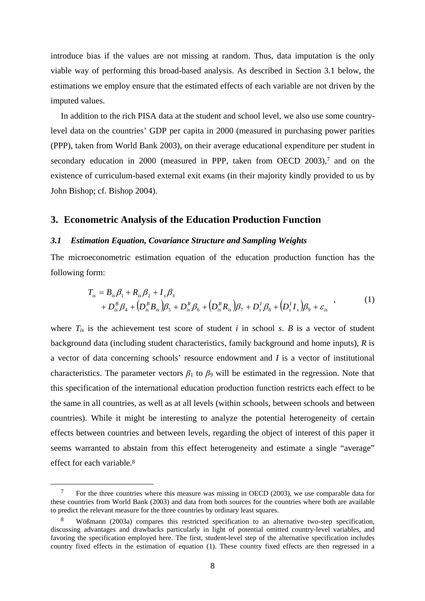introduce bias if the values are not missing at random. Thus, data imputation is the only viable way of performing this broad-based analysis. As described in Section 3.1 below, the estimations we employ ensure that the estimated effects of each variable are not driven by the imputed values.

In addition to the rich PISA data at the student and school level, we also use some countrylevel data on the countries' GDP per capita in 2000 (measured in purchasing power parities (PPP), taken from World Bank 2003), on their average educational expenditure per student in secondary education in 2000 (measured in PPP, taken from OECD 2003),<sup>7</sup> and on the existence of curriculum-based external exit exams (in their majority kindly provided to us by John Bishop; cf. Bishop 2004).

#### **3. Econometric Analysis of the Education Production Function**

#### *3.1 Estimation Equation, Covariance Structure and Sampling Weights*

The microeconometric estimation equation of the education production function has the following form:

$$
T_{is} = B_{is}\beta_1 + R_{is}\beta_2 + I_s\beta_3 + D_{is}^B\beta_4 + (D_{is}^B B_{is})\beta_5 + D_{is}^R\beta_6 + (D_{is}^R R_{is})\beta_7 + D_s^I\beta_8 + (D_s^I I_s)\beta_9 + \varepsilon_{is}
$$
 (1)

where  $T_{is}$  is the achievement test score of student *i* in school *s*. *B* is a vector of student background data (including student characteristics, family background and home inputs), *R* is a vector of data concerning schools' resource endowment and *I* is a vector of institutional characteristics. The parameter vectors  $\beta_1$  to  $\beta_9$  will be estimated in the regression. Note that this specification of the international education production function restricts each effect to be the same in all countries, as well as at all levels (within schools, between schools and between countries). While it might be interesting to analyze the potential heterogeneity of certain effects between countries and between levels, regarding the object of interest of this paper it seems warranted to abstain from this effect heterogeneity and estimate a single "average" effect for each variable.8

<sup>&</sup>lt;sup>7</sup> For the three countries where this measure was missing in OECD (2003), we use comparable data for these countries from World Bank (2003) and data from both sources for the countries where both are available to predict the relevant measure for the three countries by ordinary least squares.

Wößmann (2003a) compares this restricted specification to an alternative two-step specification, discussing advantages and drawbacks particularly in light of potential omitted country-level variables, and favoring the specification employed here. The first, student-level step of the alternative specification includes country fixed effects in the estimation of equation (1). These country fixed effects are then regressed in a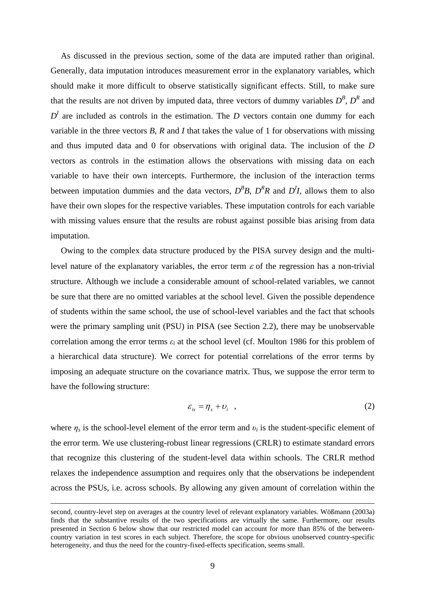As discussed in the previous section, some of the data are imputed rather than original. Generally, data imputation introduces measurement error in the explanatory variables, which should make it more difficult to observe statistically significant effects. Still, to make sure that the results are not driven by imputed data, three vectors of dummy variables  $D^B$ ,  $D^R$  and  $D<sup>I</sup>$  are included as controls in the estimation. The *D* vectors contain one dummy for each variable in the three vectors *B*, *R* and *I* that takes the value of 1 for observations with missing and thus imputed data and 0 for observations with original data. The inclusion of the *D* vectors as controls in the estimation allows the observations with missing data on each variable to have their own intercepts. Furthermore, the inclusion of the interaction terms between imputation dummies and the data vectors,  $D^B B$ ,  $D^R R$  and  $D^I I$ , allows them to also have their own slopes for the respective variables. These imputation controls for each variable with missing values ensure that the results are robust against possible bias arising from data imputation.

Owing to the complex data structure produced by the PISA survey design and the multilevel nature of the explanatory variables, the error term  $\varepsilon$  of the regression has a non-trivial structure. Although we include a considerable amount of school-related variables, we cannot be sure that there are no omitted variables at the school level. Given the possible dependence of students within the same school, the use of school-level variables and the fact that schools were the primary sampling unit (PSU) in PISA (see Section 2.2), there may be unobservable correlation among the error terms  $\varepsilon_i$  at the school level (cf. Moulton 1986 for this problem of a hierarchical data structure). We correct for potential correlations of the error terms by imposing an adequate structure on the covariance matrix. Thus, we suppose the error term to have the following structure:

$$
\varepsilon_{is} = \eta_s + \upsilon_i \quad , \tag{2}
$$

where  $\eta_s$  is the school-level element of the error term and  $v_i$  is the student-specific element of the error term. We use clustering-robust linear regressions (CRLR) to estimate standard errors that recognize this clustering of the student-level data within schools. The CRLR method relaxes the independence assumption and requires only that the observations be independent across the PSUs, i.e. across schools. By allowing any given amount of correlation within the

 $\overline{a}$ 

second, country-level step on averages at the country level of relevant explanatory variables. Wößmann (2003a) finds that the substantive results of the two specifications are virtually the same. Furthermore, our results presented in Section 6 below show that our restricted model can account for more than 85% of the betweencountry variation in test scores in each subject. Therefore, the scope for obvious unobserved country-specific heterogeneity, and thus the need for the country-fixed-effects specification, seems small.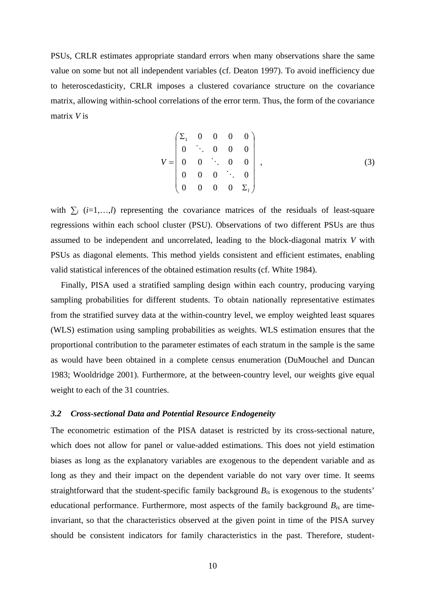PSUs, CRLR estimates appropriate standard errors when many observations share the same value on some but not all independent variables (cf. Deaton 1997). To avoid inefficiency due to heteroscedasticity, CRLR imposes a clustered covariance structure on the covariance matrix, allowing within-school correlations of the error term. Thus, the form of the covariance matrix *V* is

$$
V = \begin{pmatrix} \Sigma_1 & 0 & 0 & 0 & 0 \\ 0 & \ddots & 0 & 0 & 0 \\ 0 & 0 & \ddots & 0 & 0 \\ 0 & 0 & 0 & \ddots & 0 \\ 0 & 0 & 0 & 0 & \Sigma_1 \end{pmatrix},
$$
(3)

with  $\sum_i$  (*i*=1,…,*l*) representing the covariance matrices of the residuals of least-square regressions within each school cluster (PSU). Observations of two different PSUs are thus assumed to be independent and uncorrelated, leading to the block-diagonal matrix *V* with PSUs as diagonal elements. This method yields consistent and efficient estimates, enabling valid statistical inferences of the obtained estimation results (cf. White 1984).

Finally, PISA used a stratified sampling design within each country, producing varying sampling probabilities for different students. To obtain nationally representative estimates from the stratified survey data at the within-country level, we employ weighted least squares (WLS) estimation using sampling probabilities as weights. WLS estimation ensures that the proportional contribution to the parameter estimates of each stratum in the sample is the same as would have been obtained in a complete census enumeration (DuMouchel and Duncan 1983; Wooldridge 2001). Furthermore, at the between-country level, our weights give equal weight to each of the 31 countries.

#### *3.2 Cross-sectional Data and Potential Resource Endogeneity*

The econometric estimation of the PISA dataset is restricted by its cross-sectional nature, which does not allow for panel or value-added estimations. This does not yield estimation biases as long as the explanatory variables are exogenous to the dependent variable and as long as they and their impact on the dependent variable do not vary over time. It seems straightforward that the student-specific family background *Bis* is exogenous to the students' educational performance. Furthermore, most aspects of the family background *Bis* are timeinvariant, so that the characteristics observed at the given point in time of the PISA survey should be consistent indicators for family characteristics in the past. Therefore, student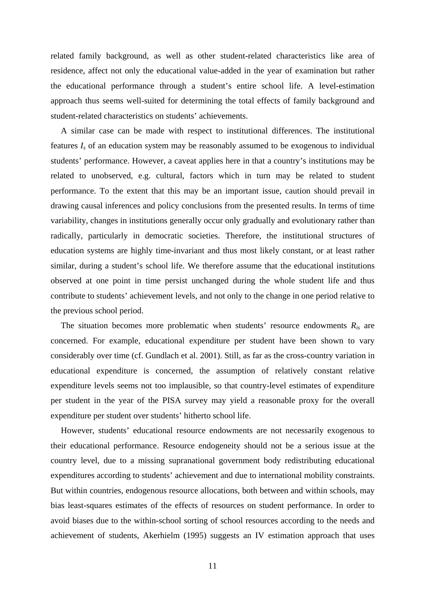related family background, as well as other student-related characteristics like area of residence, affect not only the educational value-added in the year of examination but rather the educational performance through a student's entire school life. A level-estimation approach thus seems well-suited for determining the total effects of family background and student-related characteristics on students' achievements.

A similar case can be made with respect to institutional differences. The institutional features *Is* of an education system may be reasonably assumed to be exogenous to individual students' performance. However, a caveat applies here in that a country's institutions may be related to unobserved, e.g. cultural, factors which in turn may be related to student performance. To the extent that this may be an important issue, caution should prevail in drawing causal inferences and policy conclusions from the presented results. In terms of time variability, changes in institutions generally occur only gradually and evolutionary rather than radically, particularly in democratic societies. Therefore, the institutional structures of education systems are highly time-invariant and thus most likely constant, or at least rather similar, during a student's school life. We therefore assume that the educational institutions observed at one point in time persist unchanged during the whole student life and thus contribute to students' achievement levels, and not only to the change in one period relative to the previous school period.

The situation becomes more problematic when students' resource endowments *Ris* are concerned. For example, educational expenditure per student have been shown to vary considerably over time (cf. Gundlach et al. 2001). Still, as far as the cross-country variation in educational expenditure is concerned, the assumption of relatively constant relative expenditure levels seems not too implausible, so that country-level estimates of expenditure per student in the year of the PISA survey may yield a reasonable proxy for the overall expenditure per student over students' hitherto school life.

However, students' educational resource endowments are not necessarily exogenous to their educational performance. Resource endogeneity should not be a serious issue at the country level, due to a missing supranational government body redistributing educational expenditures according to students' achievement and due to international mobility constraints. But within countries, endogenous resource allocations, both between and within schools, may bias least-squares estimates of the effects of resources on student performance. In order to avoid biases due to the within-school sorting of school resources according to the needs and achievement of students, Akerhielm (1995) suggests an IV estimation approach that uses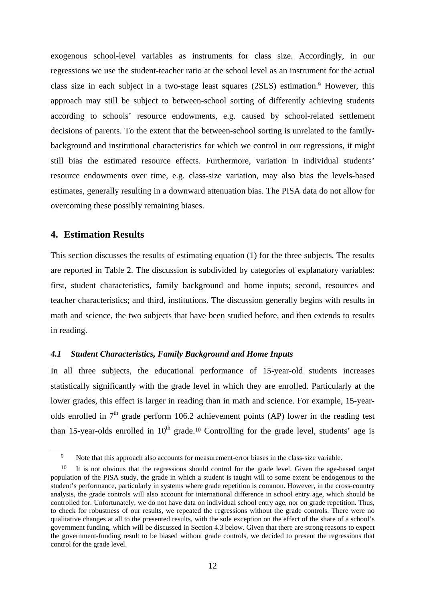exogenous school-level variables as instruments for class size. Accordingly, in our regressions we use the student-teacher ratio at the school level as an instrument for the actual class size in each subject in a two-stage least squares (2SLS) estimation.9 However, this approach may still be subject to between-school sorting of differently achieving students according to schools' resource endowments, e.g. caused by school-related settlement decisions of parents. To the extent that the between-school sorting is unrelated to the familybackground and institutional characteristics for which we control in our regressions, it might still bias the estimated resource effects. Furthermore, variation in individual students' resource endowments over time, e.g. class-size variation, may also bias the levels-based estimates, generally resulting in a downward attenuation bias. The PISA data do not allow for overcoming these possibly remaining biases.

## **4. Estimation Results**

This section discusses the results of estimating equation (1) for the three subjects. The results are reported in Table 2. The discussion is subdivided by categories of explanatory variables: first, student characteristics, family background and home inputs; second, resources and teacher characteristics; and third, institutions. The discussion generally begins with results in math and science, the two subjects that have been studied before, and then extends to results in reading.

#### *4.1 Student Characteristics, Family Background and Home Inputs*

In all three subjects, the educational performance of 15-year-old students increases statistically significantly with the grade level in which they are enrolled. Particularly at the lower grades, this effect is larger in reading than in math and science. For example, 15-yearolds enrolled in  $7<sup>th</sup>$  grade perform 106.2 achievement points (AP) lower in the reading test than 15-year-olds enrolled in  $10<sup>th</sup>$  grade.<sup>10</sup> Controlling for the grade level, students' age is

 <sup>9</sup> Note that this approach also accounts for measurement-error biases in the class-size variable.

<sup>10</sup> It is not obvious that the regressions should control for the grade level. Given the age-based target population of the PISA study, the grade in which a student is taught will to some extent be endogenous to the student's performance, particularly in systems where grade repetition is common. However, in the cross-country analysis, the grade controls will also account for international difference in school entry age, which should be controlled for. Unfortunately, we do not have data on individual school entry age, nor on grade repetition. Thus, to check for robustness of our results, we repeated the regressions without the grade controls. There were no qualitative changes at all to the presented results, with the sole exception on the effect of the share of a school's government funding, which will be discussed in Section 4.3 below. Given that there are strong reasons to expect the government-funding result to be biased without grade controls, we decided to present the regressions that control for the grade level.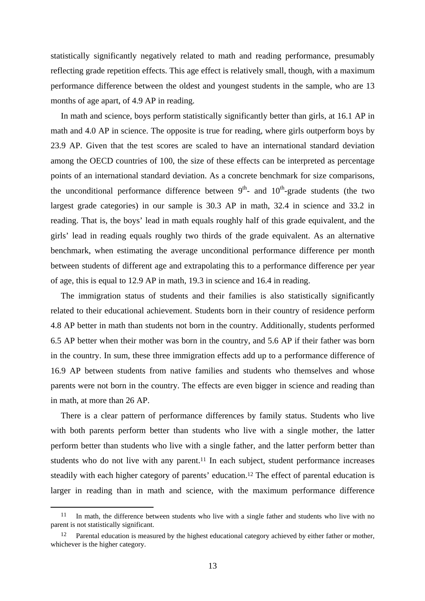statistically significantly negatively related to math and reading performance, presumably reflecting grade repetition effects. This age effect is relatively small, though, with a maximum performance difference between the oldest and youngest students in the sample, who are 13 months of age apart, of 4.9 AP in reading.

In math and science, boys perform statistically significantly better than girls, at 16.1 AP in math and 4.0 AP in science. The opposite is true for reading, where girls outperform boys by 23.9 AP. Given that the test scores are scaled to have an international standard deviation among the OECD countries of 100, the size of these effects can be interpreted as percentage points of an international standard deviation. As a concrete benchmark for size comparisons, the unconditional performance difference between  $9<sup>th</sup>$ - and  $10<sup>th</sup>$ -grade students (the two largest grade categories) in our sample is 30.3 AP in math, 32.4 in science and 33.2 in reading. That is, the boys' lead in math equals roughly half of this grade equivalent, and the girls' lead in reading equals roughly two thirds of the grade equivalent. As an alternative benchmark, when estimating the average unconditional performance difference per month between students of different age and extrapolating this to a performance difference per year of age, this is equal to 12.9 AP in math, 19.3 in science and 16.4 in reading.

The immigration status of students and their families is also statistically significantly related to their educational achievement. Students born in their country of residence perform 4.8 AP better in math than students not born in the country. Additionally, students performed 6.5 AP better when their mother was born in the country, and 5.6 AP if their father was born in the country. In sum, these three immigration effects add up to a performance difference of 16.9 AP between students from native families and students who themselves and whose parents were not born in the country. The effects are even bigger in science and reading than in math, at more than 26 AP.

There is a clear pattern of performance differences by family status. Students who live with both parents perform better than students who live with a single mother, the latter perform better than students who live with a single father, and the latter perform better than students who do not live with any parent.<sup>11</sup> In each subject, student performance increases steadily with each higher category of parents' education.12 The effect of parental education is larger in reading than in math and science, with the maximum performance difference

<sup>&</sup>lt;sup>11</sup> In math, the difference between students who live with a single father and students who live with no parent is not statistically significant.

<sup>&</sup>lt;sup>12</sup> Parental education is measured by the highest educational category achieved by either father or mother, whichever is the higher category.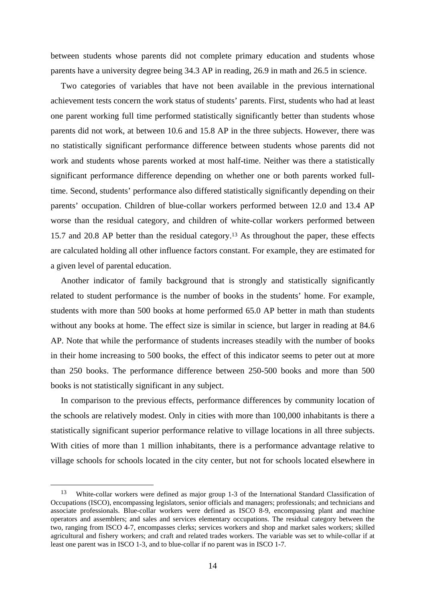between students whose parents did not complete primary education and students whose parents have a university degree being 34.3 AP in reading, 26.9 in math and 26.5 in science.

Two categories of variables that have not been available in the previous international achievement tests concern the work status of students' parents. First, students who had at least one parent working full time performed statistically significantly better than students whose parents did not work, at between 10.6 and 15.8 AP in the three subjects. However, there was no statistically significant performance difference between students whose parents did not work and students whose parents worked at most half-time. Neither was there a statistically significant performance difference depending on whether one or both parents worked fulltime. Second, students' performance also differed statistically significantly depending on their parents' occupation. Children of blue-collar workers performed between 12.0 and 13.4 AP worse than the residual category, and children of white-collar workers performed between 15.7 and 20.8 AP better than the residual category.13 As throughout the paper, these effects are calculated holding all other influence factors constant. For example, they are estimated for a given level of parental education.

Another indicator of family background that is strongly and statistically significantly related to student performance is the number of books in the students' home. For example, students with more than 500 books at home performed 65.0 AP better in math than students without any books at home. The effect size is similar in science, but larger in reading at 84.6 AP. Note that while the performance of students increases steadily with the number of books in their home increasing to 500 books, the effect of this indicator seems to peter out at more than 250 books. The performance difference between 250-500 books and more than 500 books is not statistically significant in any subject.

In comparison to the previous effects, performance differences by community location of the schools are relatively modest. Only in cities with more than 100,000 inhabitants is there a statistically significant superior performance relative to village locations in all three subjects. With cities of more than 1 million inhabitants, there is a performance advantage relative to village schools for schools located in the city center, but not for schools located elsewhere in

 <sup>13</sup> White-collar workers were defined as major group 1-3 of the International Standard Classification of Occupations (ISCO), encompassing legislators, senior officials and managers; professionals; and technicians and associate professionals. Blue-collar workers were defined as ISCO 8-9, encompassing plant and machine operators and assemblers; and sales and services elementary occupations. The residual category between the two, ranging from ISCO 4-7, encompasses clerks; services workers and shop and market sales workers; skilled agricultural and fishery workers; and craft and related trades workers. The variable was set to while-collar if at least one parent was in ISCO 1-3, and to blue-collar if no parent was in ISCO 1-7.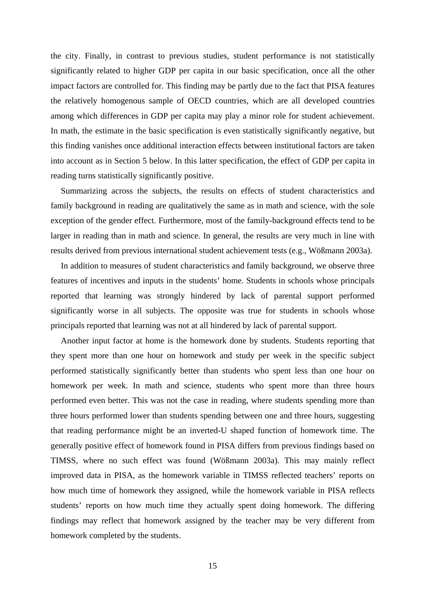the city. Finally, in contrast to previous studies, student performance is not statistically significantly related to higher GDP per capita in our basic specification, once all the other impact factors are controlled for. This finding may be partly due to the fact that PISA features the relatively homogenous sample of OECD countries, which are all developed countries among which differences in GDP per capita may play a minor role for student achievement. In math, the estimate in the basic specification is even statistically significantly negative, but this finding vanishes once additional interaction effects between institutional factors are taken into account as in Section 5 below. In this latter specification, the effect of GDP per capita in reading turns statistically significantly positive.

Summarizing across the subjects, the results on effects of student characteristics and family background in reading are qualitatively the same as in math and science, with the sole exception of the gender effect. Furthermore, most of the family-background effects tend to be larger in reading than in math and science. In general, the results are very much in line with results derived from previous international student achievement tests (e.g., Wößmann 2003a).

In addition to measures of student characteristics and family background, we observe three features of incentives and inputs in the students' home. Students in schools whose principals reported that learning was strongly hindered by lack of parental support performed significantly worse in all subjects. The opposite was true for students in schools whose principals reported that learning was not at all hindered by lack of parental support.

Another input factor at home is the homework done by students. Students reporting that they spent more than one hour on homework and study per week in the specific subject performed statistically significantly better than students who spent less than one hour on homework per week. In math and science, students who spent more than three hours performed even better. This was not the case in reading, where students spending more than three hours performed lower than students spending between one and three hours, suggesting that reading performance might be an inverted-U shaped function of homework time. The generally positive effect of homework found in PISA differs from previous findings based on TIMSS, where no such effect was found (Wößmann 2003a). This may mainly reflect improved data in PISA, as the homework variable in TIMSS reflected teachers' reports on how much time of homework they assigned, while the homework variable in PISA reflects students' reports on how much time they actually spent doing homework. The differing findings may reflect that homework assigned by the teacher may be very different from homework completed by the students.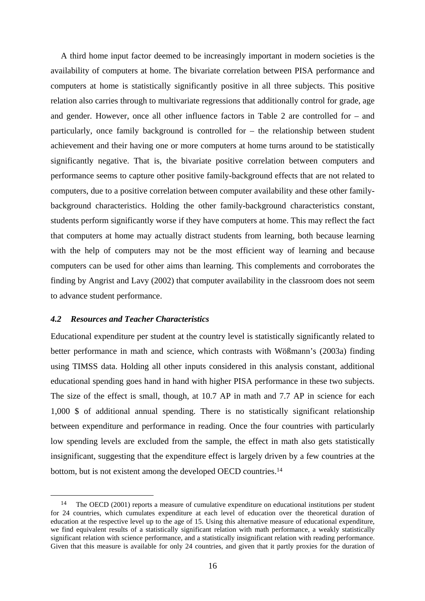A third home input factor deemed to be increasingly important in modern societies is the availability of computers at home. The bivariate correlation between PISA performance and computers at home is statistically significantly positive in all three subjects. This positive relation also carries through to multivariate regressions that additionally control for grade, age and gender. However, once all other influence factors in Table 2 are controlled for – and particularly, once family background is controlled for – the relationship between student achievement and their having one or more computers at home turns around to be statistically significantly negative. That is, the bivariate positive correlation between computers and performance seems to capture other positive family-background effects that are not related to computers, due to a positive correlation between computer availability and these other familybackground characteristics. Holding the other family-background characteristics constant, students perform significantly worse if they have computers at home. This may reflect the fact that computers at home may actually distract students from learning, both because learning with the help of computers may not be the most efficient way of learning and because computers can be used for other aims than learning. This complements and corroborates the finding by Angrist and Lavy (2002) that computer availability in the classroom does not seem to advance student performance.

#### *4.2 Resources and Teacher Characteristics*

Educational expenditure per student at the country level is statistically significantly related to better performance in math and science, which contrasts with Wößmann's (2003a) finding using TIMSS data. Holding all other inputs considered in this analysis constant, additional educational spending goes hand in hand with higher PISA performance in these two subjects. The size of the effect is small, though, at 10.7 AP in math and 7.7 AP in science for each 1,000 \$ of additional annual spending. There is no statistically significant relationship between expenditure and performance in reading. Once the four countries with particularly low spending levels are excluded from the sample, the effect in math also gets statistically insignificant, suggesting that the expenditure effect is largely driven by a few countries at the bottom, but is not existent among the developed OECD countries.14

 <sup>14</sup> The OECD (2001) reports a measure of cumulative expenditure on educational institutions per student for 24 countries, which cumulates expenditure at each level of education over the theoretical duration of education at the respective level up to the age of 15. Using this alternative measure of educational expenditure, we find equivalent results of a statistically significant relation with math performance, a weakly statistically significant relation with science performance, and a statistically insignificant relation with reading performance. Given that this measure is available for only 24 countries, and given that it partly proxies for the duration of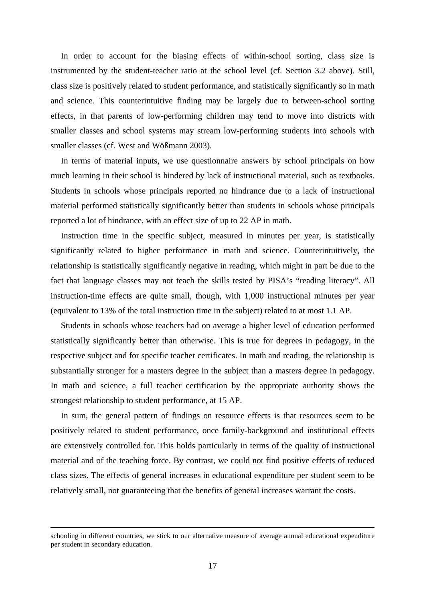In order to account for the biasing effects of within-school sorting, class size is instrumented by the student-teacher ratio at the school level (cf. Section 3.2 above). Still, class size is positively related to student performance, and statistically significantly so in math and science. This counterintuitive finding may be largely due to between-school sorting effects, in that parents of low-performing children may tend to move into districts with smaller classes and school systems may stream low-performing students into schools with smaller classes (cf. West and Wößmann 2003).

In terms of material inputs, we use questionnaire answers by school principals on how much learning in their school is hindered by lack of instructional material, such as textbooks. Students in schools whose principals reported no hindrance due to a lack of instructional material performed statistically significantly better than students in schools whose principals reported a lot of hindrance, with an effect size of up to 22 AP in math.

Instruction time in the specific subject, measured in minutes per year, is statistically significantly related to higher performance in math and science. Counterintuitively, the relationship is statistically significantly negative in reading, which might in part be due to the fact that language classes may not teach the skills tested by PISA's "reading literacy". All instruction-time effects are quite small, though, with 1,000 instructional minutes per year (equivalent to 13% of the total instruction time in the subject) related to at most 1.1 AP.

Students in schools whose teachers had on average a higher level of education performed statistically significantly better than otherwise. This is true for degrees in pedagogy, in the respective subject and for specific teacher certificates. In math and reading, the relationship is substantially stronger for a masters degree in the subject than a masters degree in pedagogy. In math and science, a full teacher certification by the appropriate authority shows the strongest relationship to student performance, at 15 AP.

In sum, the general pattern of findings on resource effects is that resources seem to be positively related to student performance, once family-background and institutional effects are extensively controlled for. This holds particularly in terms of the quality of instructional material and of the teaching force. By contrast, we could not find positive effects of reduced class sizes. The effects of general increases in educational expenditure per student seem to be relatively small, not guaranteeing that the benefits of general increases warrant the costs.

 $\overline{a}$ 

schooling in different countries, we stick to our alternative measure of average annual educational expenditure per student in secondary education.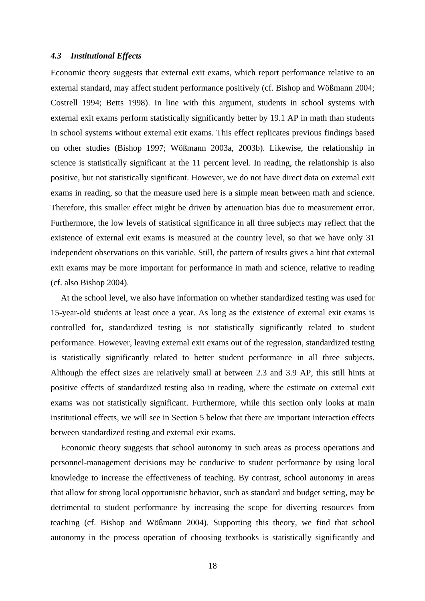#### *4.3 Institutional Effects*

Economic theory suggests that external exit exams, which report performance relative to an external standard, may affect student performance positively (cf. Bishop and Wößmann 2004; Costrell 1994; Betts 1998). In line with this argument, students in school systems with external exit exams perform statistically significantly better by 19.1 AP in math than students in school systems without external exit exams. This effect replicates previous findings based on other studies (Bishop 1997; Wößmann 2003a, 2003b). Likewise, the relationship in science is statistically significant at the 11 percent level. In reading, the relationship is also positive, but not statistically significant. However, we do not have direct data on external exit exams in reading, so that the measure used here is a simple mean between math and science. Therefore, this smaller effect might be driven by attenuation bias due to measurement error. Furthermore, the low levels of statistical significance in all three subjects may reflect that the existence of external exit exams is measured at the country level, so that we have only 31 independent observations on this variable. Still, the pattern of results gives a hint that external exit exams may be more important for performance in math and science, relative to reading (cf. also Bishop 2004).

At the school level, we also have information on whether standardized testing was used for 15-year-old students at least once a year. As long as the existence of external exit exams is controlled for, standardized testing is not statistically significantly related to student performance. However, leaving external exit exams out of the regression, standardized testing is statistically significantly related to better student performance in all three subjects. Although the effect sizes are relatively small at between 2.3 and 3.9 AP, this still hints at positive effects of standardized testing also in reading, where the estimate on external exit exams was not statistically significant. Furthermore, while this section only looks at main institutional effects, we will see in Section 5 below that there are important interaction effects between standardized testing and external exit exams.

Economic theory suggests that school autonomy in such areas as process operations and personnel-management decisions may be conducive to student performance by using local knowledge to increase the effectiveness of teaching. By contrast, school autonomy in areas that allow for strong local opportunistic behavior, such as standard and budget setting, may be detrimental to student performance by increasing the scope for diverting resources from teaching (cf. Bishop and Wößmann 2004). Supporting this theory, we find that school autonomy in the process operation of choosing textbooks is statistically significantly and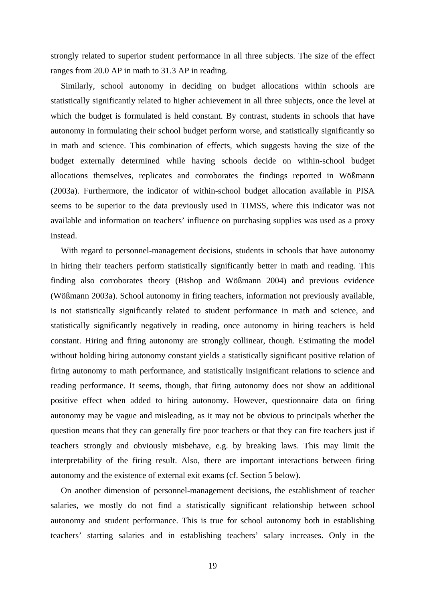strongly related to superior student performance in all three subjects. The size of the effect ranges from 20.0 AP in math to 31.3 AP in reading.

Similarly, school autonomy in deciding on budget allocations within schools are statistically significantly related to higher achievement in all three subjects, once the level at which the budget is formulated is held constant. By contrast, students in schools that have autonomy in formulating their school budget perform worse, and statistically significantly so in math and science. This combination of effects, which suggests having the size of the budget externally determined while having schools decide on within-school budget allocations themselves, replicates and corroborates the findings reported in Wößmann (2003a). Furthermore, the indicator of within-school budget allocation available in PISA seems to be superior to the data previously used in TIMSS, where this indicator was not available and information on teachers' influence on purchasing supplies was used as a proxy instead.

With regard to personnel-management decisions, students in schools that have autonomy in hiring their teachers perform statistically significantly better in math and reading. This finding also corroborates theory (Bishop and Wößmann 2004) and previous evidence (Wößmann 2003a). School autonomy in firing teachers, information not previously available, is not statistically significantly related to student performance in math and science, and statistically significantly negatively in reading, once autonomy in hiring teachers is held constant. Hiring and firing autonomy are strongly collinear, though. Estimating the model without holding hiring autonomy constant yields a statistically significant positive relation of firing autonomy to math performance, and statistically insignificant relations to science and reading performance. It seems, though, that firing autonomy does not show an additional positive effect when added to hiring autonomy. However, questionnaire data on firing autonomy may be vague and misleading, as it may not be obvious to principals whether the question means that they can generally fire poor teachers or that they can fire teachers just if teachers strongly and obviously misbehave, e.g. by breaking laws. This may limit the interpretability of the firing result. Also, there are important interactions between firing autonomy and the existence of external exit exams (cf. Section 5 below).

On another dimension of personnel-management decisions, the establishment of teacher salaries, we mostly do not find a statistically significant relationship between school autonomy and student performance. This is true for school autonomy both in establishing teachers' starting salaries and in establishing teachers' salary increases. Only in the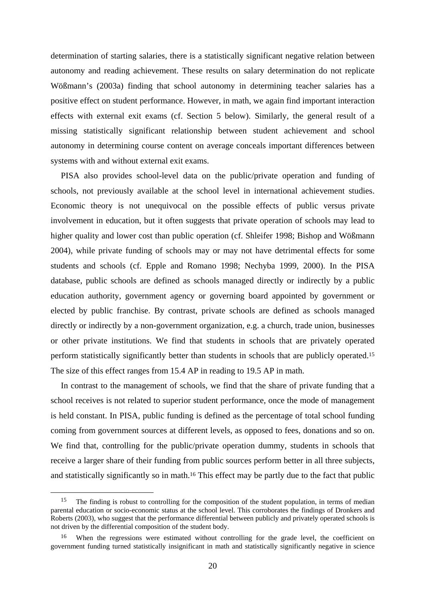determination of starting salaries, there is a statistically significant negative relation between autonomy and reading achievement. These results on salary determination do not replicate Wößmann's (2003a) finding that school autonomy in determining teacher salaries has a positive effect on student performance. However, in math, we again find important interaction effects with external exit exams (cf. Section 5 below). Similarly, the general result of a missing statistically significant relationship between student achievement and school autonomy in determining course content on average conceals important differences between systems with and without external exit exams.

PISA also provides school-level data on the public/private operation and funding of schools, not previously available at the school level in international achievement studies. Economic theory is not unequivocal on the possible effects of public versus private involvement in education, but it often suggests that private operation of schools may lead to higher quality and lower cost than public operation (cf. Shleifer 1998; Bishop and Wößmann 2004), while private funding of schools may or may not have detrimental effects for some students and schools (cf. Epple and Romano 1998; Nechyba 1999, 2000). In the PISA database, public schools are defined as schools managed directly or indirectly by a public education authority, government agency or governing board appointed by government or elected by public franchise. By contrast, private schools are defined as schools managed directly or indirectly by a non-government organization, e.g. a church, trade union, businesses or other private institutions. We find that students in schools that are privately operated perform statistically significantly better than students in schools that are publicly operated.15 The size of this effect ranges from 15.4 AP in reading to 19.5 AP in math.

In contrast to the management of schools, we find that the share of private funding that a school receives is not related to superior student performance, once the mode of management is held constant. In PISA, public funding is defined as the percentage of total school funding coming from government sources at different levels, as opposed to fees, donations and so on. We find that, controlling for the public/private operation dummy, students in schools that receive a larger share of their funding from public sources perform better in all three subjects, and statistically significantly so in math.16 This effect may be partly due to the fact that public

<sup>&</sup>lt;sup>15</sup> The finding is robust to controlling for the composition of the student population, in terms of median parental education or socio-economic status at the school level. This corroborates the findings of Dronkers and Roberts (2003), who suggest that the performance differential between publicly and privately operated schools is not driven by the differential composition of the student body.

When the regressions were estimated without controlling for the grade level, the coefficient on government funding turned statistically insignificant in math and statistically significantly negative in science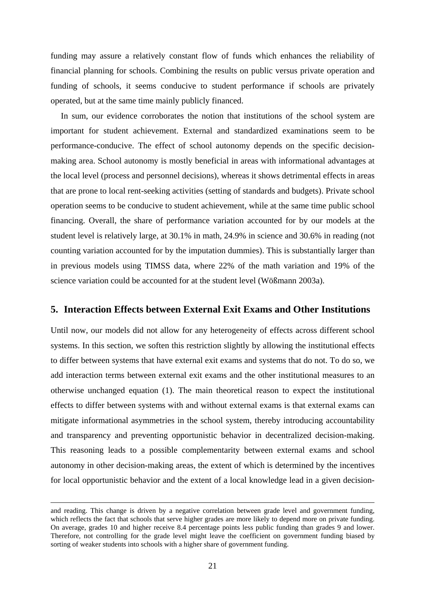funding may assure a relatively constant flow of funds which enhances the reliability of financial planning for schools. Combining the results on public versus private operation and funding of schools, it seems conducive to student performance if schools are privately operated, but at the same time mainly publicly financed.

In sum, our evidence corroborates the notion that institutions of the school system are important for student achievement. External and standardized examinations seem to be performance-conducive. The effect of school autonomy depends on the specific decisionmaking area. School autonomy is mostly beneficial in areas with informational advantages at the local level (process and personnel decisions), whereas it shows detrimental effects in areas that are prone to local rent-seeking activities (setting of standards and budgets). Private school operation seems to be conducive to student achievement, while at the same time public school financing. Overall, the share of performance variation accounted for by our models at the student level is relatively large, at 30.1% in math, 24.9% in science and 30.6% in reading (not counting variation accounted for by the imputation dummies). This is substantially larger than in previous models using TIMSS data, where 22% of the math variation and 19% of the science variation could be accounted for at the student level (Wößmann 2003a).

#### **5. Interaction Effects between External Exit Exams and Other Institutions**

Until now, our models did not allow for any heterogeneity of effects across different school systems. In this section, we soften this restriction slightly by allowing the institutional effects to differ between systems that have external exit exams and systems that do not. To do so, we add interaction terms between external exit exams and the other institutional measures to an otherwise unchanged equation (1). The main theoretical reason to expect the institutional effects to differ between systems with and without external exams is that external exams can mitigate informational asymmetries in the school system, thereby introducing accountability and transparency and preventing opportunistic behavior in decentralized decision-making. This reasoning leads to a possible complementarity between external exams and school autonomy in other decision-making areas, the extent of which is determined by the incentives for local opportunistic behavior and the extent of a local knowledge lead in a given decision-

 $\overline{a}$ 

and reading. This change is driven by a negative correlation between grade level and government funding, which reflects the fact that schools that serve higher grades are more likely to depend more on private funding. On average, grades 10 and higher receive 8.4 percentage points less public funding than grades 9 and lower. Therefore, not controlling for the grade level might leave the coefficient on government funding biased by sorting of weaker students into schools with a higher share of government funding.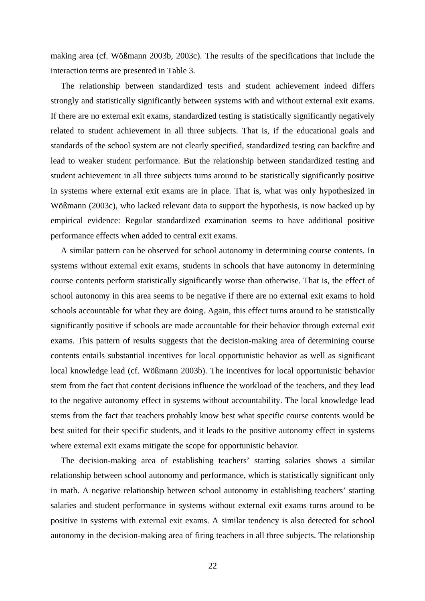making area (cf. Wößmann 2003b, 2003c). The results of the specifications that include the interaction terms are presented in Table 3.

The relationship between standardized tests and student achievement indeed differs strongly and statistically significantly between systems with and without external exit exams. If there are no external exit exams, standardized testing is statistically significantly negatively related to student achievement in all three subjects. That is, if the educational goals and standards of the school system are not clearly specified, standardized testing can backfire and lead to weaker student performance. But the relationship between standardized testing and student achievement in all three subjects turns around to be statistically significantly positive in systems where external exit exams are in place. That is, what was only hypothesized in Wößmann (2003c), who lacked relevant data to support the hypothesis, is now backed up by empirical evidence: Regular standardized examination seems to have additional positive performance effects when added to central exit exams.

A similar pattern can be observed for school autonomy in determining course contents. In systems without external exit exams, students in schools that have autonomy in determining course contents perform statistically significantly worse than otherwise. That is, the effect of school autonomy in this area seems to be negative if there are no external exit exams to hold schools accountable for what they are doing. Again, this effect turns around to be statistically significantly positive if schools are made accountable for their behavior through external exit exams. This pattern of results suggests that the decision-making area of determining course contents entails substantial incentives for local opportunistic behavior as well as significant local knowledge lead (cf. Wößmann 2003b). The incentives for local opportunistic behavior stem from the fact that content decisions influence the workload of the teachers, and they lead to the negative autonomy effect in systems without accountability. The local knowledge lead stems from the fact that teachers probably know best what specific course contents would be best suited for their specific students, and it leads to the positive autonomy effect in systems where external exit exams mitigate the scope for opportunistic behavior.

The decision-making area of establishing teachers' starting salaries shows a similar relationship between school autonomy and performance, which is statistically significant only in math. A negative relationship between school autonomy in establishing teachers' starting salaries and student performance in systems without external exit exams turns around to be positive in systems with external exit exams. A similar tendency is also detected for school autonomy in the decision-making area of firing teachers in all three subjects. The relationship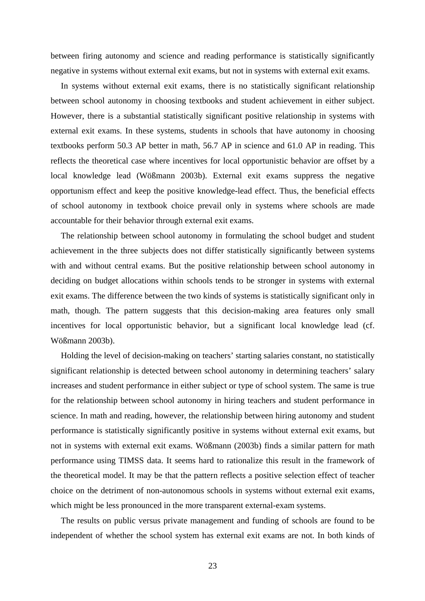between firing autonomy and science and reading performance is statistically significantly negative in systems without external exit exams, but not in systems with external exit exams.

In systems without external exit exams, there is no statistically significant relationship between school autonomy in choosing textbooks and student achievement in either subject. However, there is a substantial statistically significant positive relationship in systems with external exit exams. In these systems, students in schools that have autonomy in choosing textbooks perform 50.3 AP better in math, 56.7 AP in science and 61.0 AP in reading. This reflects the theoretical case where incentives for local opportunistic behavior are offset by a local knowledge lead (Wößmann 2003b). External exit exams suppress the negative opportunism effect and keep the positive knowledge-lead effect. Thus, the beneficial effects of school autonomy in textbook choice prevail only in systems where schools are made accountable for their behavior through external exit exams.

The relationship between school autonomy in formulating the school budget and student achievement in the three subjects does not differ statistically significantly between systems with and without central exams. But the positive relationship between school autonomy in deciding on budget allocations within schools tends to be stronger in systems with external exit exams. The difference between the two kinds of systems is statistically significant only in math, though. The pattern suggests that this decision-making area features only small incentives for local opportunistic behavior, but a significant local knowledge lead (cf. Wößmann 2003b).

Holding the level of decision-making on teachers' starting salaries constant, no statistically significant relationship is detected between school autonomy in determining teachers' salary increases and student performance in either subject or type of school system. The same is true for the relationship between school autonomy in hiring teachers and student performance in science. In math and reading, however, the relationship between hiring autonomy and student performance is statistically significantly positive in systems without external exit exams, but not in systems with external exit exams. Wößmann (2003b) finds a similar pattern for math performance using TIMSS data. It seems hard to rationalize this result in the framework of the theoretical model. It may be that the pattern reflects a positive selection effect of teacher choice on the detriment of non-autonomous schools in systems without external exit exams, which might be less pronounced in the more transparent external-exam systems.

The results on public versus private management and funding of schools are found to be independent of whether the school system has external exit exams are not. In both kinds of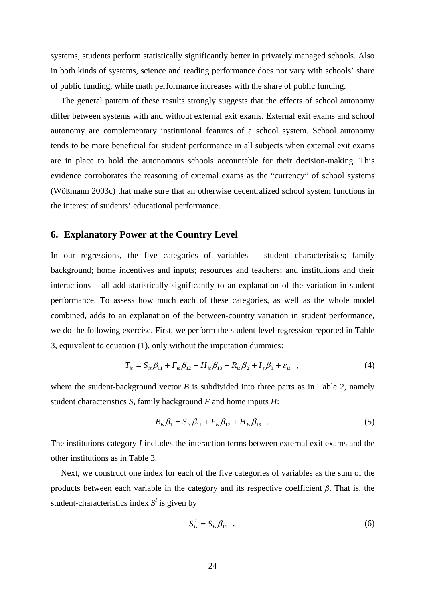systems, students perform statistically significantly better in privately managed schools. Also in both kinds of systems, science and reading performance does not vary with schools' share of public funding, while math performance increases with the share of public funding.

The general pattern of these results strongly suggests that the effects of school autonomy differ between systems with and without external exit exams. External exit exams and school autonomy are complementary institutional features of a school system. School autonomy tends to be more beneficial for student performance in all subjects when external exit exams are in place to hold the autonomous schools accountable for their decision-making. This evidence corroborates the reasoning of external exams as the "currency" of school systems (Wößmann 2003c) that make sure that an otherwise decentralized school system functions in the interest of students' educational performance.

#### **6. Explanatory Power at the Country Level**

In our regressions, the five categories of variables – student characteristics; family background; home incentives and inputs; resources and teachers; and institutions and their interactions – all add statistically significantly to an explanation of the variation in student performance. To assess how much each of these categories, as well as the whole model combined, adds to an explanation of the between-country variation in student performance, we do the following exercise. First, we perform the student-level regression reported in Table 3, equivalent to equation (1), only without the imputation dummies:

$$
T_{is} = S_{is}\beta_{11} + F_{is}\beta_{12} + H_{is}\beta_{13} + R_{is}\beta_{2} + I_{s}\beta_{3} + \varepsilon_{is} , \qquad (4)
$$

where the student-background vector  $B$  is subdivided into three parts as in Table 2, namely student characteristics *S*, family background *F* and home inputs *H*:

$$
B_{is}\beta_1 = S_{is}\beta_{11} + F_{is}\beta_{12} + H_{is}\beta_{13} \quad . \tag{5}
$$

The institutions category *I* includes the interaction terms between external exit exams and the other institutions as in Table 3.

Next, we construct one index for each of the five categories of variables as the sum of the products between each variable in the category and its respective coefficient *β*. That is, the student-characteristics index  $S<sup>I</sup>$  is given by

$$
S_{is}^I = S_{is}\beta_{11} \quad , \tag{6}
$$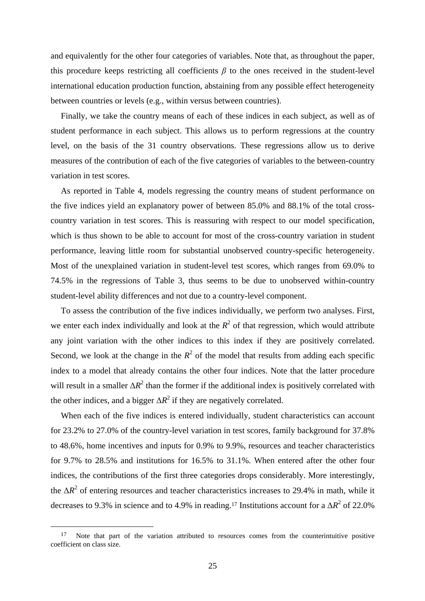and equivalently for the other four categories of variables. Note that, as throughout the paper, this procedure keeps restricting all coefficients  $\beta$  to the ones received in the student-level international education production function, abstaining from any possible effect heterogeneity between countries or levels (e.g., within versus between countries).

Finally, we take the country means of each of these indices in each subject, as well as of student performance in each subject. This allows us to perform regressions at the country level, on the basis of the 31 country observations. These regressions allow us to derive measures of the contribution of each of the five categories of variables to the between-country variation in test scores.

As reported in Table 4, models regressing the country means of student performance on the five indices yield an explanatory power of between 85.0% and 88.1% of the total crosscountry variation in test scores. This is reassuring with respect to our model specification, which is thus shown to be able to account for most of the cross-country variation in student performance, leaving little room for substantial unobserved country-specific heterogeneity. Most of the unexplained variation in student-level test scores, which ranges from 69.0% to 74.5% in the regressions of Table 3, thus seems to be due to unobserved within-country student-level ability differences and not due to a country-level component.

To assess the contribution of the five indices individually, we perform two analyses. First, we enter each index individually and look at the  $R^2$  of that regression, which would attribute any joint variation with the other indices to this index if they are positively correlated. Second, we look at the change in the  $R^2$  of the model that results from adding each specific index to a model that already contains the other four indices. Note that the latter procedure will result in a smaller  $\Delta R^2$  than the former if the additional index is positively correlated with the other indices, and a bigger  $\Delta R^2$  if they are negatively correlated.

When each of the five indices is entered individually, student characteristics can account for 23.2% to 27.0% of the country-level variation in test scores, family background for 37.8% to 48.6%, home incentives and inputs for 0.9% to 9.9%, resources and teacher characteristics for 9.7% to 28.5% and institutions for 16.5% to 31.1%. When entered after the other four indices, the contributions of the first three categories drops considerably. More interestingly, the ∆*R*<sup>2</sup> of entering resources and teacher characteristics increases to 29.4% in math, while it decreases to 9.3% in science and to 4.9% in reading.<sup>17</sup> Institutions account for a  $\Delta R^2$  of 22.0%

<sup>&</sup>lt;sup>17</sup> Note that part of the variation attributed to resources comes from the counterintuitive positive coefficient on class size.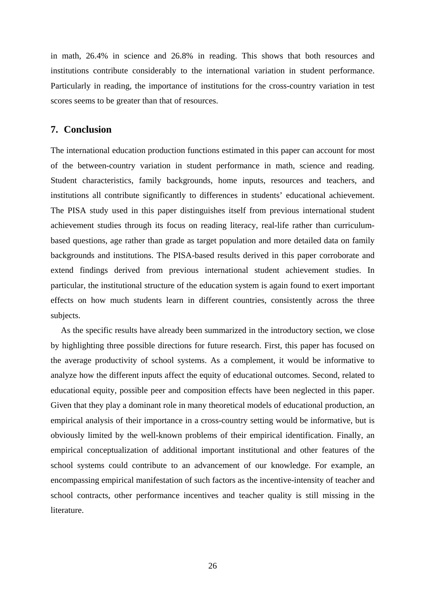in math, 26.4% in science and 26.8% in reading. This shows that both resources and institutions contribute considerably to the international variation in student performance. Particularly in reading, the importance of institutions for the cross-country variation in test scores seems to be greater than that of resources.

## **7. Conclusion**

The international education production functions estimated in this paper can account for most of the between-country variation in student performance in math, science and reading. Student characteristics, family backgrounds, home inputs, resources and teachers, and institutions all contribute significantly to differences in students' educational achievement. The PISA study used in this paper distinguishes itself from previous international student achievement studies through its focus on reading literacy, real-life rather than curriculumbased questions, age rather than grade as target population and more detailed data on family backgrounds and institutions. The PISA-based results derived in this paper corroborate and extend findings derived from previous international student achievement studies. In particular, the institutional structure of the education system is again found to exert important effects on how much students learn in different countries, consistently across the three subjects.

As the specific results have already been summarized in the introductory section, we close by highlighting three possible directions for future research. First, this paper has focused on the average productivity of school systems. As a complement, it would be informative to analyze how the different inputs affect the equity of educational outcomes. Second, related to educational equity, possible peer and composition effects have been neglected in this paper. Given that they play a dominant role in many theoretical models of educational production, an empirical analysis of their importance in a cross-country setting would be informative, but is obviously limited by the well-known problems of their empirical identification. Finally, an empirical conceptualization of additional important institutional and other features of the school systems could contribute to an advancement of our knowledge. For example, an encompassing empirical manifestation of such factors as the incentive-intensity of teacher and school contracts, other performance incentives and teacher quality is still missing in the literature.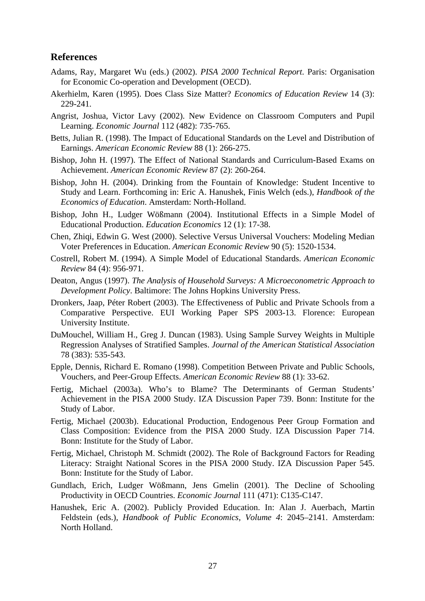## **References**

- Adams, Ray, Margaret Wu (eds.) (2002). *PISA 2000 Technical Report*. Paris: Organisation for Economic Co-operation and Development (OECD).
- Akerhielm, Karen (1995). Does Class Size Matter? *Economics of Education Review* 14 (3): 229-241.
- Angrist, Joshua, Victor Lavy (2002). New Evidence on Classroom Computers and Pupil Learning. *Economic Journal* 112 (482): 735-765.
- Betts, Julian R. (1998). The Impact of Educational Standards on the Level and Distribution of Earnings. *American Economic Review* 88 (1): 266-275.
- Bishop, John H. (1997). The Effect of National Standards and Curriculum-Based Exams on Achievement. *American Economic Review* 87 (2): 260-264.
- Bishop, John H. (2004). Drinking from the Fountain of Knowledge: Student Incentive to Study and Learn. Forthcoming in: Eric A. Hanushek, Finis Welch (eds.), *Handbook of the Economics of Education*. Amsterdam: North-Holland.
- Bishop, John H., Ludger Wößmann (2004). Institutional Effects in a Simple Model of Educational Production. *Education Economics* 12 (1): 17-38.
- Chen, Zhiqi, Edwin G. West (2000). Selective Versus Universal Vouchers: Modeling Median Voter Preferences in Education. *American Economic Review* 90 (5): 1520-1534.
- Costrell, Robert M. (1994). A Simple Model of Educational Standards. *American Economic Review* 84 (4): 956-971.
- Deaton, Angus (1997). *The Analysis of Household Surveys: A Microeconometric Approach to Development Policy*. Baltimore: The Johns Hopkins University Press.
- Dronkers, Jaap, Péter Robert (2003). The Effectiveness of Public and Private Schools from a Comparative Perspective. EUI Working Paper SPS 2003-13. Florence: European University Institute.
- DuMouchel, William H., Greg J. Duncan (1983). Using Sample Survey Weights in Multiple Regression Analyses of Stratified Samples. *Journal of the American Statistical Association* 78 (383): 535-543.
- Epple, Dennis, Richard E. Romano (1998). Competition Between Private and Public Schools, Vouchers, and Peer-Group Effects. *American Economic Review* 88 (1): 33-62.
- Fertig, Michael (2003a). Who's to Blame? The Determinants of German Students' Achievement in the PISA 2000 Study. IZA Discussion Paper 739. Bonn: Institute for the Study of Labor.
- Fertig, Michael (2003b). Educational Production, Endogenous Peer Group Formation and Class Composition: Evidence from the PISA 2000 Study. IZA Discussion Paper 714. Bonn: Institute for the Study of Labor.
- Fertig, Michael, Christoph M. Schmidt (2002). The Role of Background Factors for Reading Literacy: Straight National Scores in the PISA 2000 Study. IZA Discussion Paper 545. Bonn: Institute for the Study of Labor.
- Gundlach, Erich, Ludger Wößmann, Jens Gmelin (2001). The Decline of Schooling Productivity in OECD Countries. *Economic Journal* 111 (471): C135-C147.
- Hanushek, Eric A. (2002). Publicly Provided Education. In: Alan J. Auerbach, Martin Feldstein (eds.), *Handbook of Public Economics, Volume 4*: 2045–2141. Amsterdam: North Holland.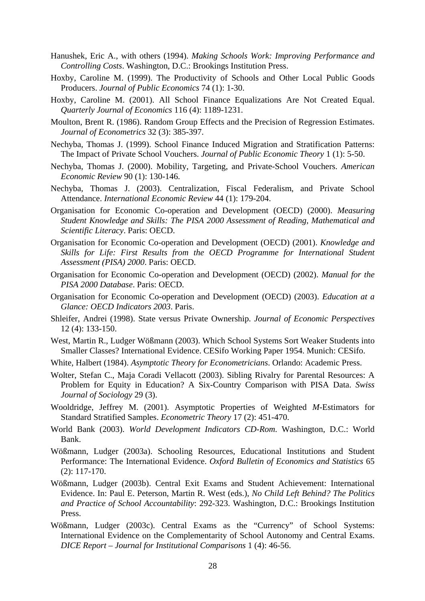- Hanushek, Eric A., with others (1994). *Making Schools Work: Improving Performance and Controlling Costs*. Washington, D.C.: Brookings Institution Press.
- Hoxby, Caroline M. (1999). The Productivity of Schools and Other Local Public Goods Producers. *Journal of Public Economics* 74 (1): 1-30.
- Hoxby, Caroline M. (2001). All School Finance Equalizations Are Not Created Equal. *Quarterly Journal of Economics* 116 (4): 1189-1231.
- Moulton, Brent R. (1986). Random Group Effects and the Precision of Regression Estimates. *Journal of Econometrics* 32 (3): 385-397.
- Nechyba, Thomas J. (1999). School Finance Induced Migration and Stratification Patterns: The Impact of Private School Vouchers. *Journal of Public Economic Theory* 1 (1): 5-50.
- Nechyba, Thomas J. (2000). Mobility, Targeting, and Private-School Vouchers. *American Economic Review* 90 (1): 130-146.
- Nechyba, Thomas J. (2003). Centralization, Fiscal Federalism, and Private School Attendance. *International Economic Review* 44 (1): 179-204.
- Organisation for Economic Co-operation and Development (OECD) (2000). *Measuring Student Knowledge and Skills: The PISA 2000 Assessment of Reading, Mathematical and Scientific Literacy*. Paris: OECD.
- Organisation for Economic Co-operation and Development (OECD) (2001). *Knowledge and Skills for Life: First Results from the OECD Programme for International Student Assessment (PISA) 2000*. Paris: OECD.
- Organisation for Economic Co-operation and Development (OECD) (2002). *Manual for the PISA 2000 Database*. Paris: OECD.
- Organisation for Economic Co-operation and Development (OECD) (2003). *Education at a Glance: OECD Indicators 2003*. Paris.
- Shleifer, Andrei (1998). State versus Private Ownership. *Journal of Economic Perspectives* 12 (4): 133-150.
- West, Martin R., Ludger Wößmann (2003). Which School Systems Sort Weaker Students into Smaller Classes? International Evidence. CESifo Working Paper 1954. Munich: CESifo.
- White, Halbert (1984). *Asymptotic Theory for Econometricians*. Orlando: Academic Press.
- Wolter, Stefan C., Maja Coradi Vellacott (2003). Sibling Rivalry for Parental Resources: A Problem for Equity in Education? A Six-Country Comparison with PISA Data. *Swiss Journal of Sociology* 29 (3).
- Wooldridge, Jeffrey M. (2001). Asymptotic Properties of Weighted *M*-Estimators for Standard Stratified Samples. *Econometric Theory* 17 (2): 451-470.
- World Bank (2003). *World Development Indicators CD-Rom*. Washington, D.C.: World Bank.
- Wößmann, Ludger (2003a). Schooling Resources, Educational Institutions and Student Performance: The International Evidence. *Oxford Bulletin of Economics and Statistics* 65 (2): 117-170.
- Wößmann, Ludger (2003b). Central Exit Exams and Student Achievement: International Evidence. In: Paul E. Peterson, Martin R. West (eds.), *No Child Left Behind? The Politics and Practice of School Accountability*: 292-323. Washington, D.C.: Brookings Institution Press.
- Wößmann, Ludger (2003c). Central Exams as the "Currency" of School Systems: International Evidence on the Complementarity of School Autonomy and Central Exams. *DICE Report – Journal for Institutional Comparisons* 1 (4): 46-56.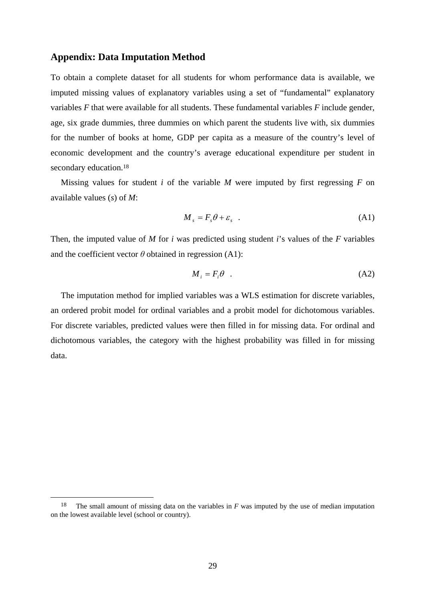#### **Appendix: Data Imputation Method**

To obtain a complete dataset for all students for whom performance data is available, we imputed missing values of explanatory variables using a set of "fundamental" explanatory variables *F* that were available for all students. These fundamental variables *F* include gender, age, six grade dummies, three dummies on which parent the students live with, six dummies for the number of books at home, GDP per capita as a measure of the country's level of economic development and the country's average educational expenditure per student in secondary education.<sup>18</sup>

Missing values for student *i* of the variable *M* were imputed by first regressing *F* on available values (*s*) of *M*:

$$
M_{s} = F_{s} \theta + \varepsilon_{s} \quad . \tag{A1}
$$

Then, the imputed value of *M* for *i* was predicted using student *i*'s values of the *F* variables and the coefficient vector  $\theta$  obtained in regression (A1):

$$
M_i = F_i \theta \quad . \tag{A2}
$$

The imputation method for implied variables was a WLS estimation for discrete variables, an ordered probit model for ordinal variables and a probit model for dichotomous variables. For discrete variables, predicted values were then filled in for missing data. For ordinal and dichotomous variables, the category with the highest probability was filled in for missing data.

 <sup>18</sup> The small amount of missing data on the variables in *F* was imputed by the use of median imputation on the lowest available level (school or country).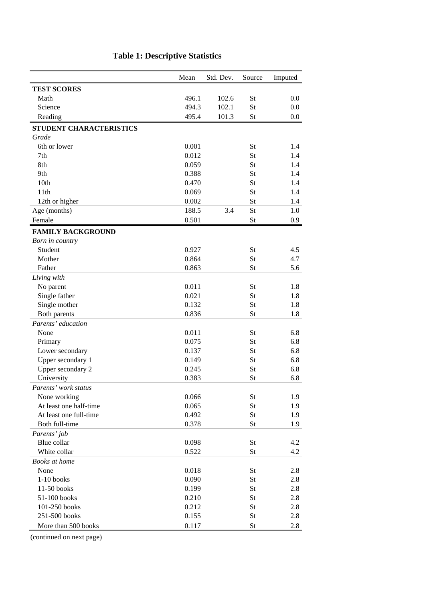|                          | Mean  | Std. Dev. | Source    | Imputed |
|--------------------------|-------|-----------|-----------|---------|
| <b>TEST SCORES</b>       |       |           |           |         |
| Math                     | 496.1 | 102.6     | St        | 0.0     |
| Science                  | 494.3 | 102.1     | St        | $0.0\,$ |
| Reading                  | 495.4 | 101.3     | St        | $0.0\,$ |
| STUDENT CHARACTERISTICS  |       |           |           |         |
| Grade                    |       |           |           |         |
| 6th or lower             | 0.001 |           | St        | 1.4     |
| 7th                      | 0.012 |           | St        | 1.4     |
| 8th                      | 0.059 |           | St        | 1.4     |
| 9th                      | 0.388 |           | St        | 1.4     |
| 10th                     | 0.470 |           | St        | 1.4     |
| 11th                     | 0.069 |           | St        | 1.4     |
| 12th or higher           | 0.002 |           | St        | 1.4     |
| Age (months)             | 188.5 | 3.4       | St        | 1.0     |
| Female                   | 0.501 |           | <b>St</b> | 0.9     |
| <b>FAMILY BACKGROUND</b> |       |           |           |         |
| Born in country          |       |           |           |         |
| Student                  | 0.927 |           | St        | 4.5     |
| Mother                   | 0.864 |           | St        | 4.7     |
| Father                   | 0.863 |           | St        | 5.6     |
| Living with              |       |           |           |         |
| No parent                | 0.011 |           | <b>St</b> | 1.8     |
| Single father            | 0.021 |           | St        | 1.8     |
| Single mother            | 0.132 |           | St        | 1.8     |
| Both parents             | 0.836 |           | St        | 1.8     |
| Parents' education       |       |           |           |         |
| None                     | 0.011 |           | <b>St</b> | 6.8     |
| Primary                  | 0.075 |           | St        | 6.8     |
| Lower secondary          | 0.137 |           | St        | 6.8     |
| Upper secondary 1        | 0.149 |           | St        | 6.8     |
| Upper secondary 2        | 0.245 |           | <b>St</b> | 6.8     |
| University               | 0.383 |           | St        | 6.8     |
| Parents' work status     |       |           |           |         |
| None working             | 0.066 |           | <b>St</b> | 1.9     |
| At least one half-time   | 0.065 |           | <b>St</b> | 1.9     |
| At least one full-time   | 0.492 |           | <b>St</b> | 1.9     |
| Both full-time           | 0.378 |           | <b>St</b> | 1.9     |
| Parents' job             |       |           |           |         |
| Blue collar              | 0.098 |           | <b>St</b> | 4.2     |
| White collar             | 0.522 |           | <b>St</b> | 4.2     |
| Books at home            |       |           |           |         |
| None                     | 0.018 |           | <b>St</b> | 2.8     |
| $1-10$ books             | 0.090 |           | <b>St</b> | 2.8     |
| 11-50 books              | 0.199 |           | <b>St</b> | 2.8     |
| 51-100 books             | 0.210 |           | <b>St</b> | 2.8     |
| 101-250 books            | 0.212 |           | <b>St</b> | 2.8     |
| 251-500 books            | 0.155 |           | <b>St</b> | 2.8     |
| More than 500 books      | 0.117 |           | <b>St</b> | 2.8     |

# **Table 1: Descriptive Statistics**

(continued on next page)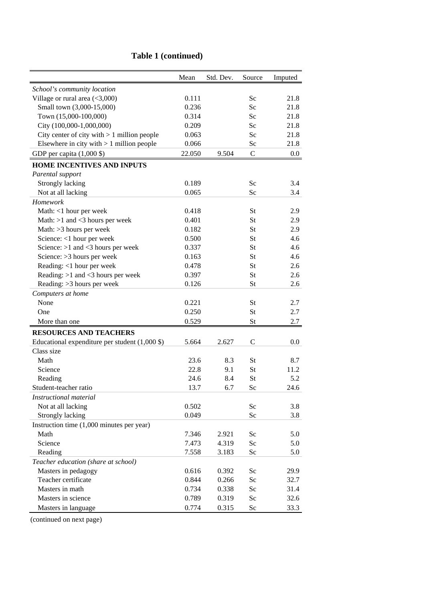|                                                                               | Mean   | Std. Dev. | Source       | Imputed |
|-------------------------------------------------------------------------------|--------|-----------|--------------|---------|
| School's community location                                                   |        |           |              |         |
| Village or rural area $(<3,000)$                                              | 0.111  |           | Sc           | 21.8    |
| Small town (3,000-15,000)                                                     | 0.236  |           | Sc           | 21.8    |
| Town (15,000-100,000)                                                         | 0.314  |           | Sc           | 21.8    |
| City (100,000-1,000,000)                                                      | 0.209  |           | Sc           | 21.8    |
| City center of city with $> 1$ million people                                 | 0.063  |           | Sc           | 21.8    |
| Elsewhere in city with $> 1$ million people                                   | 0.066  |           | Sc           | 21.8    |
| GDP per capita $(1,000 \text{ $})$                                            | 22.050 | 9.504     | $\mathbf C$  | $0.0\,$ |
| <b>HOME INCENTIVES AND INPUTS</b>                                             |        |           |              |         |
| Parental support                                                              |        |           |              |         |
| Strongly lacking                                                              | 0.189  |           | Sc           | 3.4     |
| Not at all lacking                                                            | 0.065  |           | Sc           | 3.4     |
| Homework                                                                      |        |           |              |         |
| Math: <1 hour per week                                                        | 0.418  |           | St           | 2.9     |
| Math: $>1$ and $<$ 3 hours per week                                           | 0.401  |           | St           | 2.9     |
| Math: > 3 hours per week                                                      | 0.182  |           | St           | 2.9     |
| Science: <1 hour per week                                                     | 0.500  |           | St           | 4.6     |
| Science: $>1$ and <3 hours per week                                           | 0.337  |           | St           | 4.6     |
| Science: > 3 hours per week                                                   | 0.163  |           | St           | 4.6     |
| Reading: <1 hour per week                                                     | 0.478  |           | St           | 2.6     |
| Reading: $>1$ and $<$ 3 hours per week                                        | 0.397  |           | St           | 2.6     |
| Reading: > 3 hours per week                                                   | 0.126  |           | St           | 2.6     |
| Computers at home                                                             |        |           |              |         |
| None                                                                          | 0.221  |           | <b>St</b>    | 2.7     |
| One                                                                           | 0.250  |           | St           | 2.7     |
| More than one                                                                 | 0.529  |           | St           | 2.7     |
| <b>RESOURCES AND TEACHERS</b>                                                 |        |           |              |         |
| Educational expenditure per student $(1,000 \text{ } \text{\textcircled{s}})$ | 5.664  | 2.627     | $\mathsf{C}$ | 0.0     |
| Class size                                                                    |        |           |              |         |
| Math                                                                          | 23.6   | 8.3       | St           | 8.7     |
| Science                                                                       | 22.8   | 9.1       | St           | 11.2    |
| Reading                                                                       | 24.6   | 8.4       | St           | 5.2     |
| Student-teacher ratio                                                         | 13.7   | 6.7       | <b>Sc</b>    | 24.6    |
| Instructional material                                                        |        |           |              |         |
| Not at all lacking                                                            | 0.502  |           | Sc           | 3.8     |
| Strongly lacking                                                              | 0.049  |           | Sc           | 3.8     |
| Instruction time $(1,000$ minutes per year)                                   |        |           |              |         |
| Math                                                                          | 7.346  | 2.921     | Sc           | 5.0     |
| Science                                                                       | 7.473  | 4.319     | Sc           | 5.0     |
| Reading                                                                       | 7.558  | 3.183     | Sc           | 5.0     |
| Teacher education (share at school)                                           |        |           |              |         |
| Masters in pedagogy                                                           | 0.616  | 0.392     | Sc           | 29.9    |
| Teacher certificate                                                           | 0.844  | 0.266     | Sc           | 32.7    |
| Masters in math                                                               | 0.734  | 0.338     | Sc           | 31.4    |
| Masters in science                                                            | 0.789  | 0.319     | Sc           | 32.6    |
| Masters in language                                                           | 0.774  | 0.315     | Sc           | 33.3    |

# **Table 1 (continued)**

(continued on next page)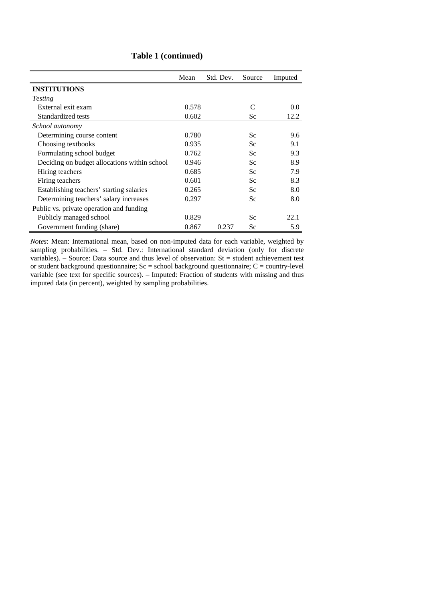|                                              | Mean  | Std. Dev. | Source | Imputed |
|----------------------------------------------|-------|-----------|--------|---------|
| <b>INSTITUTIONS</b>                          |       |           |        |         |
| <i>Testing</i>                               |       |           |        |         |
| External exit exam                           | 0.578 |           |        | 0.0     |
| Standardized tests                           | 0.602 |           | Sc     | 12.2    |
| School autonomy                              |       |           |        |         |
| Determining course content                   | 0.780 |           | Sc     | 9.6     |
| Choosing textbooks                           | 0.935 |           | Sc     | 9.1     |
| Formulating school budget                    | 0.762 |           | Sc     | 9.3     |
| Deciding on budget allocations within school | 0.946 |           | Sc     | 8.9     |
| Hiring teachers                              | 0.685 |           | Sc     | 7.9     |
| Firing teachers                              | 0.601 |           | Sc     | 8.3     |
| Establishing teachers' starting salaries     | 0.265 |           | Sc     | 8.0     |
| Determining teachers' salary increases       | 0.297 |           | Sc     | 8.0     |
| Public vs. private operation and funding     |       |           |        |         |
| Publicly managed school                      | 0.829 |           | Sc     | 22.1    |
| Government funding (share)                   | 0.867 | 0.237     | Sc     | 5.9     |

#### **Table 1 (continued)**

*Notes*: Mean: International mean, based on non-imputed data for each variable, weighted by sampling probabilities. – Std. Dev.: International standard deviation (only for discrete variables). – Source: Data source and thus level of observation:  $St = student achievement test$ or student background questionnaire; Sc = school background questionnaire; C = country-level variable (see text for specific sources). – Imputed: Fraction of students with missing and thus imputed data (in percent), weighted by sampling probabilities.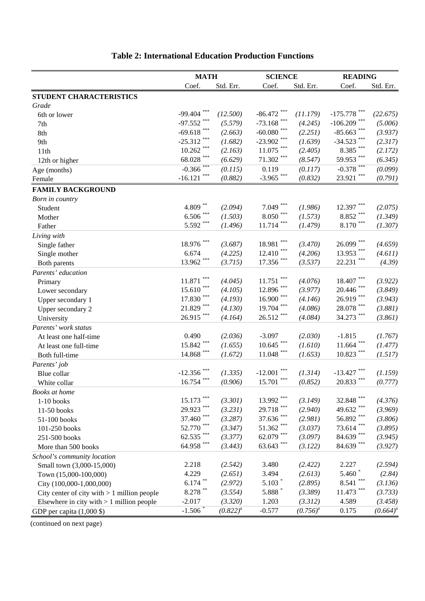|                                               | <b>MATH</b>           |               | <b>SCIENCE</b>           |                    | <b>READING</b>   |               |  |
|-----------------------------------------------|-----------------------|---------------|--------------------------|--------------------|------------------|---------------|--|
|                                               | Coef.                 | Std. Err.     | Coef.                    | Std. Err.          | Coef.            | Std. Err.     |  |
| STUDENT CHARACTERISTICS                       |                       |               |                          |                    |                  |               |  |
| Grade                                         |                       |               |                          |                    |                  |               |  |
| 6th or lower                                  | $-99.404$             | (12.500)      | $-86.472$                | (11.179)           | $-175.778$       | (22.675)      |  |
| 7th                                           | ***<br>$-97.552$      | (5.579)       | ***<br>$-73.168$         | (4.245)            | $-106.209$ ***   | (5.006)       |  |
| 8th                                           | $-69.618$             | (2.663)       | ***<br>$-60.080$         | (2.251)            | $-85.663$        | (3.937)       |  |
| 9th                                           | ***<br>$-25.312$      | (1.682)       | ***<br>$-23.902$         | (1.639)            | ***<br>$-34.523$ | (2.317)       |  |
| 11th                                          | $10.262$ $^{***}\,$   | (2.163)       | ***<br>11.075            | (2.405)            | ***<br>8.385     | (2.172)       |  |
| 12th or higher                                | $68.028$ ***          | (6.629)       | ***<br>71.302            | (8.547)            | ***<br>59.953    | (6.345)       |  |
| Age (months)                                  | $-0.366$ ***          | (0.115)       | 0.119                    | (0.117)            | ***<br>$-0.378$  | (0.099)       |  |
| Female                                        | ***<br>$-16.121$      | (0.882)       | $-3.965$ ***             | (0.832)            | ***<br>23.921    | (0.791)       |  |
| <b>FAMILY BACKGROUND</b>                      |                       |               |                          |                    |                  |               |  |
| Born in country                               |                       |               |                          |                    |                  |               |  |
| Student                                       | $4.809$ **            | (2.094)       | ***<br>7.049             | (1.986)            | 12.397           | (2.075)       |  |
| Mother                                        | $6.506$ ***           | (1.503)       | ***<br>8.050             | (1.573)            | ***<br>8.852     | (1.349)       |  |
| Father                                        | $5.592$ ***           | (1.496)       | ***<br>11.714            | (1.479)            | ***<br>8.170     | (1.307)       |  |
| Living with                                   |                       |               |                          |                    |                  |               |  |
| Single father                                 | $18.976\; ^{***}$     | (3.687)       | 18.981                   | (3.470)            | ***<br>26.099    | (4.659)       |  |
| Single mother                                 | 6.674                 | (4.225)       | ***<br>12.410            | (4.206)            | 13.953           | (4.611)       |  |
| Both parents                                  | $13.962$ ***          | (3.715)       | 17.356                   | (3.537)            | ***<br>22.231    | (4.39)        |  |
| Parents' education                            |                       |               |                          |                    |                  |               |  |
| Primary                                       | ***<br>11.871         | (4.045)       | ***<br>11.751            | (4.076)            | ***<br>18.407    | (3.922)       |  |
| Lower secondary                               | ***<br>15.610         | (4.105)       | ***<br>12.896            | (3.977)            | ***<br>20.446    | (3.849)       |  |
| Upper secondary 1                             | $17.830$ $^{***}\,$   | (4.193)       | ***<br>16.900            | (4.146)            | 26.919 ***       | (3.943)       |  |
| Upper secondary 2                             | $21.829$ ***          | (4.130)       | ***<br>19.704            | (4.086)            | ***<br>28.078    | (3.881)       |  |
| University                                    | $26.915$ ***          | (4.164)       | 26.512                   | (4.084)            | 34.273           | (3.861)       |  |
| Parents' work status                          |                       |               |                          |                    |                  |               |  |
| At least one half-time                        | 0.490                 | (2.036)       | $-3.097$                 | (2.030)            | $-1.815$         | (1.767)       |  |
| At least one full-time                        | $15.842$ ***          | (1.655)       | ***<br>10.645            | (1.610)            | ***<br>11.664    | (1.477)       |  |
| Both full-time                                | $14.868$ ***          | (1.672)       | $11.048$ ***             | (1.653)            | ***<br>10.823    | (1.517)       |  |
| Parents' job                                  |                       |               |                          |                    |                  |               |  |
| Blue collar                                   | $-12.356$             | (1.335)       | $-12.001$                | (1.314)            | $-13.427$        | (1.159)       |  |
| White collar                                  | 16.754                | (0.906)       | $\ast\ast\ast$<br>15.701 | (0.852)            | 20.833           | (0.777)       |  |
| Books at home                                 |                       |               |                          |                    |                  |               |  |
| $1-10$ books                                  | ***<br>15.173         | (3.301)       | ***<br>13.992            | (3.149)            | ***<br>32.848    | (4.376)       |  |
| 11-50 books                                   | ***<br>29.923         | (3.231)       | ***<br>29.718            | (2.940)            | ***<br>49.632    | (3.969)       |  |
| 51-100 books                                  | 37.460 ***            | (3.287)       | ***<br>37.636            | (2.981)            | ***<br>56.892    | (3.806)       |  |
| 101-250 books                                 | 52.770 ***            | (3.347)       | ***<br>51.362            | (3.037)            | ***<br>73.614    | (3.895)       |  |
| 251-500 books                                 | 62.535 ***            | (3.377)       | ***<br>62.079            | (3.097)            | ***<br>84.639    | (3.945)       |  |
| More than 500 books                           | $64.958$ $^{***}\;$   | (3.443)       | $63.643$ ***             | (3.122)            | $84.639$ ***     | (3.927)       |  |
|                                               |                       |               |                          |                    |                  |               |  |
| School's community location                   | 2.218                 | (2.542)       | 3.480                    | (2.422)            | 2.227            | (2.594)       |  |
| Small town (3,000-15,000)                     | 4.229                 | (2.651)       | 3.494                    | (2.613)            | 5.460 $*$        |               |  |
| Town (15,000-100,000)                         | $6.174$ $^{\ast\ast}$ | (2.972)       | $5.103*$                 |                    | ***<br>8.541     | (2.84)        |  |
| City (100,000-1,000,000)                      | $8.278$ **            | (3.554)       | 5.888                    | (2.895)<br>(3.389) | 11.473           | (3.136)       |  |
| City center of city with $> 1$ million people | $-2.017$              |               |                          |                    |                  | (3.733)       |  |
| Elsewhere in city with $> 1$ million people   |                       | (3.320)       | 1.203                    | (3.312)            | 4.589            | (3.458)       |  |
| GDP per capita $(1,000 \text{ $})$            | $-1.506*$             | $(0.822)^{a}$ | $-0.577$                 | $(0.756)^{a}$      | 0.175            | $(0.664)^{a}$ |  |

# **Table 2: International Education Production Functions**

(continued on next page)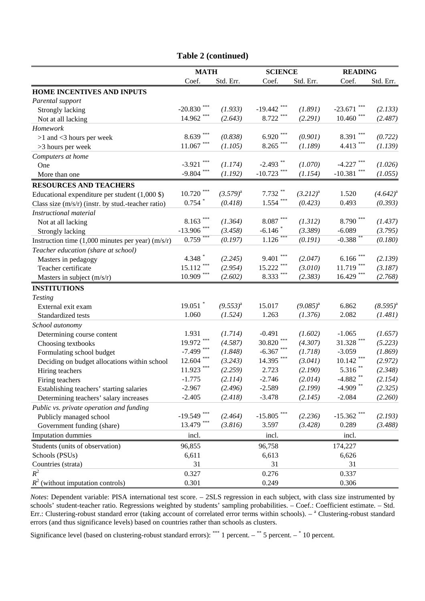|                                                                               | <b>MATH</b>         |               | <b>SCIENCE</b>            |               | <b>READING</b>            |               |
|-------------------------------------------------------------------------------|---------------------|---------------|---------------------------|---------------|---------------------------|---------------|
|                                                                               | Coef.               | Std. Err.     | Coef.                     | Std. Err.     | Coef.                     | Std. Err.     |
| HOME INCENTIVES AND INPUTS                                                    |                     |               |                           |               |                           |               |
| Parental support                                                              |                     |               |                           |               |                           |               |
| Strongly lacking                                                              | $-20.830$           | (1.933)       | $-19.442$                 | (1.891)       | $-23.671$                 | (2.133)       |
| Not at all lacking                                                            | $14.962$ ***        | (2.643)       | ***<br>8.722              | (2.291)       | 10.460                    | (2.487)       |
| Homework                                                                      |                     |               |                           |               |                           |               |
| $>1$ and $<$ 3 hours per week                                                 | $8.639***$          | (0.838)       | ***<br>6.920              | (0.901)       | $***$<br>8.391            | (0.722)       |
| >3 hours per week                                                             | $11.067$ ***        | (1.105)       | $***$<br>8.265            | (1.189)       | 4.413                     | (1.139)       |
| Computers at home                                                             |                     |               |                           |               |                           |               |
| One                                                                           | ***<br>$-3.921$     | (1.174)       | $-2.493$ **               | (1.070)       | $-4.227$                  | (1.026)       |
| More than one                                                                 | $-9.804$ ***        | (1.192)       | $-10.723$                 | (1.154)       | $-10.381$                 | (1.055)       |
| <b>RESOURCES AND TEACHERS</b>                                                 |                     |               |                           |               |                           |               |
| Educational expenditure per student $(1,000 \text{ } \text{\textcircled{s}})$ | 10.720              | $(3.579)^{a}$ | 7.732                     | $(3.212)^{a}$ | 1.520                     | $(4.642)^{a}$ |
| Class size $(m/s/r)$ (instr. by stud.-teacher ratio)                          | $0.754$ *           | (0.418)       | $1.554$ ***               | (0.423)       | 0.493                     | (0.393)       |
| Instructional material                                                        |                     |               |                           |               |                           |               |
| Not at all lacking                                                            | $8.163***$          | (1.364)       | $8.087$ $^{\ast\ast\ast}$ | (1.312)       | $8.790$ $^{\ast\ast\ast}$ | (1.437)       |
| Strongly lacking                                                              | $-13.906$ ***       | (3.458)       | $-6.146$                  | (3.389)       | $-6.089$                  | (3.795)       |
| Instruction time $(1,000$ minutes per year) $(m/s/r)$                         | $0.759***$          | (0.197)       | $1.126$ ***               | (0.191)       | $-0.388***$               | (0.180)       |
| Teacher education (share at school)                                           |                     |               |                           |               |                           |               |
| Masters in pedagogy                                                           | 4.348 $*$           | (2.245)       | $\ast\ast\ast$<br>9.401   | (2.047)       | 6.166                     | (2.139)       |
| Teacher certificate                                                           | ***<br>15.112       | (2.954)       | ***<br>15.222             | (3.010)       | 11.719                    | (3.187)       |
| Masters in subject (m/s/r)                                                    | $10.909$ $^{***}\;$ | (2.602)       | ***<br>8.333              | (2.383)       | $16.429$ ***              | (2.768)       |
| <b>INSTITUTIONS</b>                                                           |                     |               |                           |               |                           |               |
| <b>Testing</b>                                                                |                     |               |                           |               |                           |               |
| External exit exam                                                            | $19.051$ *          | $(9.553)^{a}$ | 15.017                    | $(9.085)^{a}$ | 6.862                     | $(8.595)^{a}$ |
| Standardized tests                                                            | 1.060               | (1.524)       | 1.263                     | (1.376)       | 2.082                     | (1.481)       |
| School autonomy                                                               |                     |               |                           |               |                           |               |
| Determining course content                                                    | 1.931               | (1.714)       | $-0.491$                  | (1.602)       | $-1.065$                  | (1.657)       |
| Choosing textbooks                                                            | $19.972$ ***        | (4.587)       | ***<br>30.820             | (4.307)       | 31.328                    | (5.223)       |
| Formulating school budget                                                     | $-7.499$ ***        | (1.848)       | ***<br>$-6.367$           | (1.718)       | $-3.059$                  | (1.869)       |
| Deciding on budget allocations within school                                  | $12.604$ ***        | (3.243)       | 14.395                    | (3.041)       | 10.142                    | (2.972)       |
| Hiring teachers                                                               | $11.923$ ***        | (2.259)       | 2.723                     | (2.190)       | $5.316$ **                | (2.348)       |
| Firing teachers                                                               | $-1.775$            | (2.114)       | $-2.746$                  | (2.014)       | $-4.882$ **               | (2.154)       |
| Establishing teachers' starting salaries                                      | $-2.967$            | (2.496)       | $-2.589$                  | (2.199)       | $-4.909$ **               | (2.325)       |
| Determining teachers' salary increases                                        | $-2.405$            | (2.418)       | $-3.478$                  | (2.145)       | $-2.084$                  | (2.260)       |
| Public vs. private operation and funding                                      |                     |               |                           |               |                           |               |
| Publicly managed school                                                       | $-19.549$ ***       | (2.464)       | $-15.805$                 | (2.236)       | $-15.362$                 | (2.193)       |
| Government funding (share)                                                    | 13.479 ***          | (3.816)       | 3.597                     | (3.428)       | 0.289                     | (3.488)       |
| <b>Imputation dummies</b>                                                     | incl.               |               | incl.                     |               | incl.                     |               |
| Students (units of observation)                                               | 96,855              |               | 96,758                    |               | 174,227                   |               |
| Schools (PSUs)                                                                | 6,611               |               | 6,613                     |               | 6,626                     |               |
| Countries (strata)                                                            | 31                  |               | 31                        |               | 31                        |               |
| $R^2$                                                                         | 0.327               |               | 0.276                     |               | 0.337                     |               |
| $R^2$ (without imputation controls)                                           | 0.301               |               | 0.249                     |               | 0.306                     |               |

#### *Notes*: Dependent variable: PISA international test score. – 2SLS regression in each subject, with class size instrumented by schools' student-teacher ratio. Regressions weighted by students' sampling probabilities. – Coef.: Coefficient estimate. – Std. Err.: Clustering-robust standard error (taking account of correlated error terms within schools).  $-$ <sup>a</sup> Clustering-robust standard errors (and thus significance levels) based on countries rather than schools as clusters.

Significance level (based on clustering-robust standard errors): \*\*\* 1 percent. – \*\* 5 percent. – \* 10 percent.

#### **Table 2 (continued)**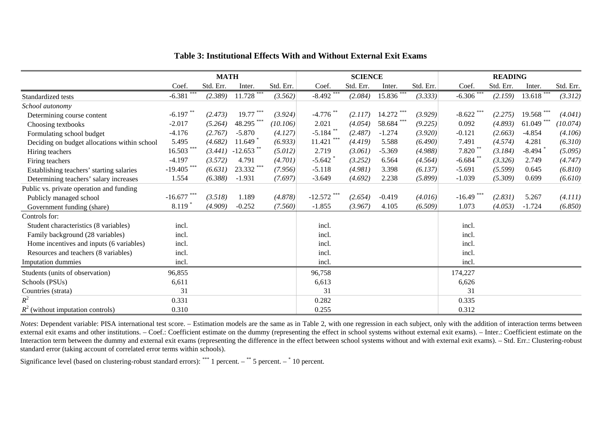|                                              | <b>MATH</b>   |           |              | <b>SCIENCE</b> |             |           |               | <b>READING</b> |              |           |              |           |
|----------------------------------------------|---------------|-----------|--------------|----------------|-------------|-----------|---------------|----------------|--------------|-----------|--------------|-----------|
|                                              | Coef.         | Std. Err. | Inter.       | Std. Err.      | Coef.       | Std. Err. | Inter.        | Std. Err.      | Coef.        | Std. Err. | Inter.       | Std. Err. |
| Standardized tests                           | $-6.381$      | (2.389)   | $11.728***$  | (3.562)        | $-8.492$    | (2.084)   | $15.836***$   | (3.333)        | $-6.306$ *** | (2.159)   | $13.618***$  | (3.312)   |
| School autonomy                              |               |           |              |                |             |           |               |                |              |           |              |           |
| Determining course content                   | $-6.197$ **   | (2.473)   | $19.77$ ***  | (3.924)        | $-4.776$ ** | (2.117)   | $14.272$ ***  | (3.929)        | $-8.622$     | (2.275)   | 19.568 ***   | (4.041)   |
| Choosing textbooks                           | $-2.017$      | (5.264)   | 48.295***    | (10.106)       | 2.021       | (4.054)   | ***<br>58.684 | (9.225)        | 0.092        | (4.893)   | $61.049$ *** | (10.074)  |
| Formulating school budget                    | $-4.176$      | (2.767)   | $-5.870$     | (4.127)        | $-5.184$ ** | (2.487)   | $-1.274$      | (3.920)        | $-0.121$     | (2.663)   | $-4.854$     | (4.106)   |
| Deciding on budget allocations within school | 5.495         | (4.682)   | 11.649       | (6.933)        | 11.421      | (4.419)   | 5.588         | (6.490)        | 7.491        | (4.574)   | 4.281        | (6.310)   |
| Hiring teachers                              | $16.503$ ***  | (3.441)   | $-12.653$ ** | (5.012)        | 2.719       | (3.061)   | $-5.369$      | (4.988)        | $7.820$ **   | (3.184)   | $-8.494$     | (5.095)   |
| Firing teachers                              | $-4.197$      | (3.572)   | 4.791        | (4.701)        | $-5.642$    | (3.252)   | 6.564         | (4.564)        | $-6.684$     | (3.326)   | 2.749        | (4.747)   |
| Establishing teachers' starting salaries     | $-19.405$ *** | (6.631)   | 23.332 ***   | (7.956)        | $-5.118$    | (4.981)   | 3.398         | (6.137)        | $-5.691$     | (5.599)   | 0.645        | (6.810)   |
| Determining teachers' salary increases       | 1.554         | (6.388)   | $-1.931$     | (7.697)        | $-3.649$    | (4.692)   | 2.238         | (5.899)        | $-1.039$     | (5.309)   | 0.699        | (6.610)   |
| Public vs. private operation and funding     |               |           |              |                |             |           |               |                |              |           |              |           |
| Publicly managed school                      | $-16.677$     | (3.518)   | 1.189        | (4.878)        | $-12.572$   | (2.654)   | $-0.419$      | (4.016)        | $-16.49$     | (2.831)   | 5.267        | (4.111)   |
| Government funding (share)                   | 8.119         | (4.909)   | $-0.252$     | (7.560)        | $-1.855$    | (3.967)   | 4.105         | (6.509)        | 1.073        | (4.053)   | $-1.724$     | (6.850)   |
| Controls for:                                |               |           |              |                |             |           |               |                |              |           |              |           |
| Student characteristics (8 variables)        | incl.         |           |              |                | incl.       |           |               |                | incl.        |           |              |           |
| Family background (28 variables)             | incl.         |           |              |                | incl.       |           |               |                | incl.        |           |              |           |
| Home incentives and inputs (6 variables)     | incl.         |           |              |                | incl.       |           |               |                | incl.        |           |              |           |
| Resources and teachers (8 variables)         | incl.         |           |              |                | incl.       |           |               |                | incl.        |           |              |           |
| Imputation dummies                           | incl.         |           |              |                | incl.       |           |               |                | incl.        |           |              |           |
| Students (units of observation)              | 96,855        |           |              |                | 96,758      |           |               |                | 174,227      |           |              |           |
| Schools (PSUs)                               | 6,611         |           |              |                | 6,613       |           |               |                | 6,626        |           |              |           |
| Countries (strata)                           | 31            |           |              |                | 31          |           |               |                | 31           |           |              |           |
| $R^2$                                        | 0.331         |           |              |                | 0.282       |           |               |                | 0.335        |           |              |           |
| $R^2$ (without imputation controls)          | 0.310         |           |              |                | 0.255       |           |               |                | 0.312        |           |              |           |

#### **Table 3: Institutional Effects With and Without External Exit Exams**

*Notes*: Dependent variable: PISA international test score. – Estimation models are the same as in Table 2, with one regression in each subject, only with the addition of interaction terms between external exit exams and other institutions. – Coef.: Coefficient estimate on the dummy (representing the effect in school systems without external exit exams). – Inter.: Coefficient estimate on the Interaction term between the dummy and external exit exams (representing the difference in the effect between school systems without and with external exit exams). – Std. Err.: Clustering-robust standard error (taking account of correlated error terms within schools).

Significance level (based on clustering-robust standard errors): \*\*\* 1 percent. – \*\* 5 percent. – \* 10 percent.